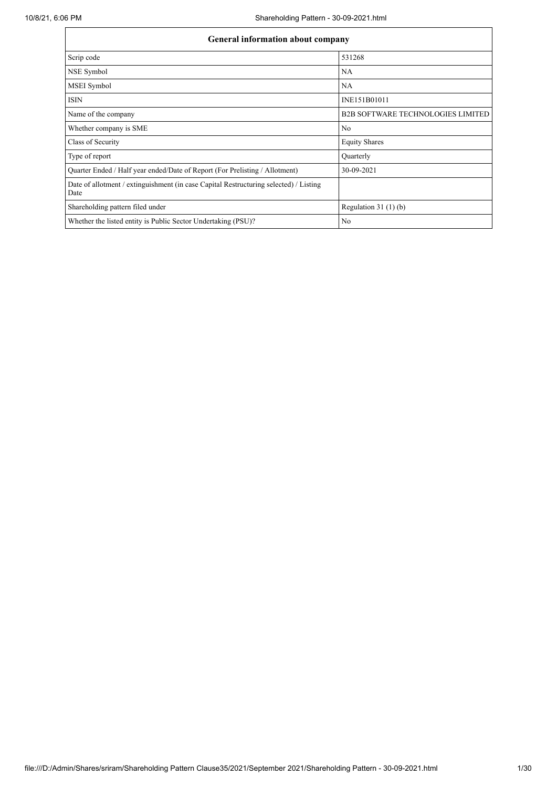| General information about company                                                             |                                          |  |  |  |  |  |  |
|-----------------------------------------------------------------------------------------------|------------------------------------------|--|--|--|--|--|--|
| Scrip code                                                                                    | 531268                                   |  |  |  |  |  |  |
| NSE Symbol                                                                                    | <b>NA</b>                                |  |  |  |  |  |  |
| MSEI Symbol                                                                                   | NA                                       |  |  |  |  |  |  |
| <b>ISIN</b>                                                                                   | INE151B01011                             |  |  |  |  |  |  |
| Name of the company                                                                           | <b>B2B SOFTWARE TECHNOLOGIES LIMITED</b> |  |  |  |  |  |  |
| Whether company is SME                                                                        | No                                       |  |  |  |  |  |  |
| Class of Security                                                                             | <b>Equity Shares</b>                     |  |  |  |  |  |  |
| Type of report                                                                                | Quarterly                                |  |  |  |  |  |  |
| Quarter Ended / Half year ended/Date of Report (For Prelisting / Allotment)                   | 30-09-2021                               |  |  |  |  |  |  |
| Date of allotment / extinguishment (in case Capital Restructuring selected) / Listing<br>Date |                                          |  |  |  |  |  |  |
| Shareholding pattern filed under                                                              | Regulation $31(1)(b)$                    |  |  |  |  |  |  |
| Whether the listed entity is Public Sector Undertaking (PSU)?                                 | No                                       |  |  |  |  |  |  |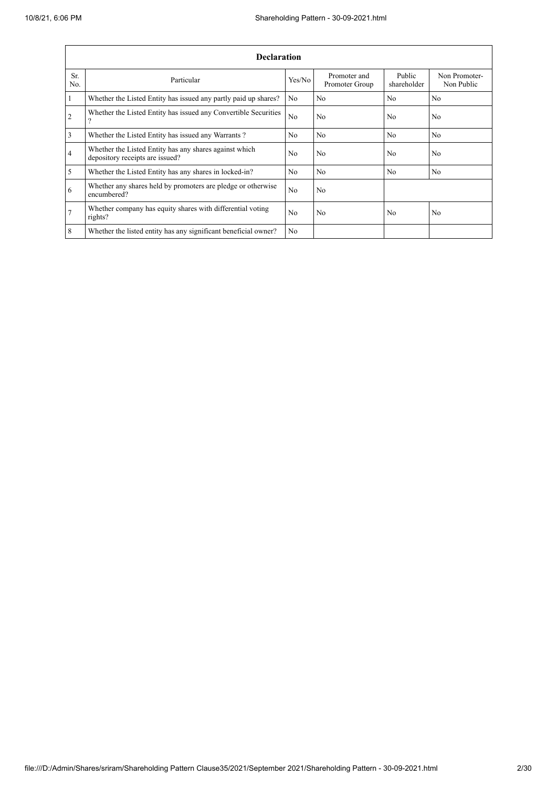|                | <b>Declaration</b>                                                                        |                |                                |                       |                             |  |  |  |
|----------------|-------------------------------------------------------------------------------------------|----------------|--------------------------------|-----------------------|-----------------------------|--|--|--|
| Sr.<br>No.     | Particular                                                                                | Yes/No         | Promoter and<br>Promoter Group | Public<br>shareholder | Non Promoter-<br>Non Public |  |  |  |
| $\mathbf{1}$   | Whether the Listed Entity has issued any partly paid up shares?                           | N <sub>0</sub> | N <sub>o</sub>                 | N <sub>o</sub>        | N <sub>o</sub>              |  |  |  |
| $\overline{2}$ | Whether the Listed Entity has issued any Convertible Securities<br>າ                      | N <sub>o</sub> | No                             | N <sub>o</sub>        | N <sub>o</sub>              |  |  |  |
| $\overline{3}$ | Whether the Listed Entity has issued any Warrants?                                        | N <sub>o</sub> | N <sub>o</sub>                 | N <sub>o</sub>        | N <sub>o</sub>              |  |  |  |
| $\overline{4}$ | Whether the Listed Entity has any shares against which<br>depository receipts are issued? | No             | No                             | N <sub>o</sub>        | N <sub>o</sub>              |  |  |  |
| 5              | Whether the Listed Entity has any shares in locked-in?                                    | N <sub>0</sub> | No                             | N <sub>0</sub>        | No                          |  |  |  |
| 6              | Whether any shares held by promoters are pledge or otherwise<br>encumbered?               | N <sub>0</sub> | No                             |                       |                             |  |  |  |
| $\overline{7}$ | Whether company has equity shares with differential voting<br>rights?                     | N <sub>0</sub> | N <sub>o</sub>                 | N <sub>0</sub>        | N <sub>0</sub>              |  |  |  |
| 8              | Whether the listed entity has any significant beneficial owner?                           | N <sub>o</sub> |                                |                       |                             |  |  |  |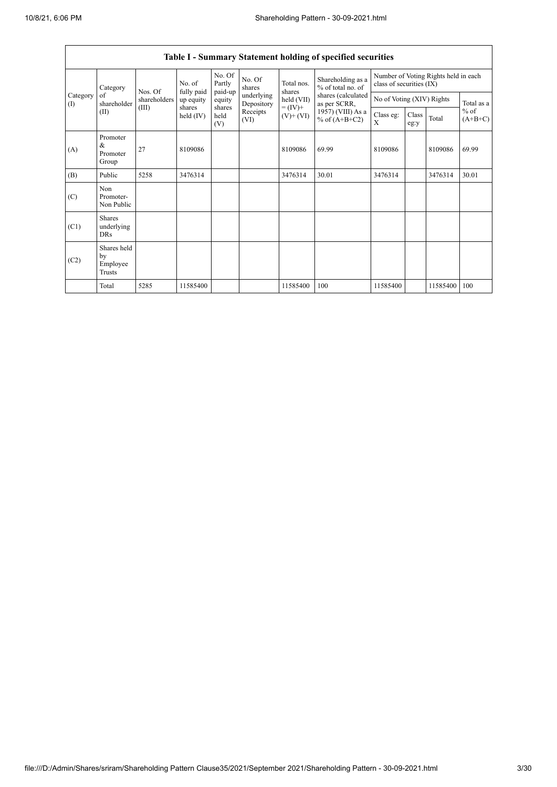$\overline{1}$ 

|                                                                                 |                                         |                         |                       |                          |                              |                                      | Table I - Summary Statement holding of specified securities |                                                                  |       |                                   |       |
|---------------------------------------------------------------------------------|-----------------------------------------|-------------------------|-----------------------|--------------------------|------------------------------|--------------------------------------|-------------------------------------------------------------|------------------------------------------------------------------|-------|-----------------------------------|-------|
| Category<br>Category<br>of<br>shareholder<br>$\left( \mathrm{I}\right)$<br>(II) |                                         |                         | No. of                | No. Of<br>Partly         | No. Of<br>shares             | Total nos.<br>shares                 | Shareholding as a<br>% of total no. of                      | Number of Voting Rights held in each<br>class of securities (IX) |       |                                   |       |
|                                                                                 | Nos. Of<br>shareholders                 | fully paid<br>up equity | paid-up<br>equity     | underlying<br>Depository | held (VII)                   | shares (calculated<br>as per SCRR,   | No of Voting (XIV) Rights                                   |                                                                  |       | Total as a<br>$%$ of<br>$(A+B+C)$ |       |
|                                                                                 | (III)                                   | shares<br>held $(IV)$   | shares<br>held<br>(V) | Receipts<br>(VI)         | $= (IV) +$<br>$(V)$ + $(VI)$ | 1957) (VIII) As a<br>% of $(A+B+C2)$ | Class eg:<br>X                                              | Class<br>eg:y                                                    | Total |                                   |       |
| (A)                                                                             | Promoter<br>&<br>Promoter<br>Group      | 27                      | 8109086               |                          |                              | 8109086                              | 69.99                                                       | 8109086                                                          |       | 8109086                           | 69.99 |
| (B)                                                                             | Public                                  | 5258                    | 3476314               |                          |                              | 3476314                              | 30.01                                                       | 3476314                                                          |       | 3476314                           | 30.01 |
| (C)                                                                             | Non<br>Promoter-<br>Non Public          |                         |                       |                          |                              |                                      |                                                             |                                                                  |       |                                   |       |
| (C1)                                                                            | Shares<br>underlying<br><b>DRs</b>      |                         |                       |                          |                              |                                      |                                                             |                                                                  |       |                                   |       |
| (C2)                                                                            | Shares held<br>by<br>Employee<br>Trusts |                         |                       |                          |                              |                                      |                                                             |                                                                  |       |                                   |       |
|                                                                                 | Total                                   | 5285                    | 11585400              |                          |                              | 11585400                             | 100                                                         | 11585400                                                         |       | 11585400                          | 100   |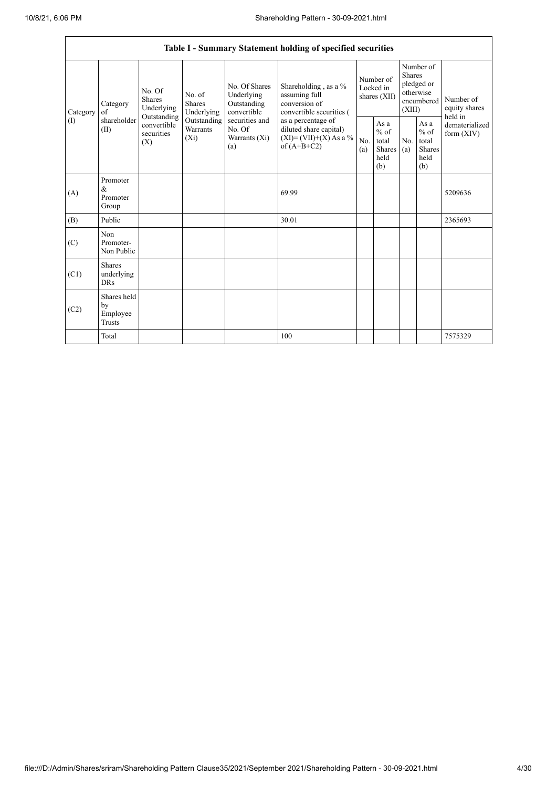|                               | Table I - Summary Statement holding of specified securities |                                                                                                                              |             |                                                                                                               |                                                                                                                                                                                  |                                        |                                                  |                                                                               |                                                                    |                                       |
|-------------------------------|-------------------------------------------------------------|------------------------------------------------------------------------------------------------------------------------------|-------------|---------------------------------------------------------------------------------------------------------------|----------------------------------------------------------------------------------------------------------------------------------------------------------------------------------|----------------------------------------|--------------------------------------------------|-------------------------------------------------------------------------------|--------------------------------------------------------------------|---------------------------------------|
| Category<br>of<br>(1)<br>(II) | Category                                                    | No. Of<br>No. of<br>Shares<br>Shares<br>Underlying<br>Outstanding<br>convertible<br>Warrants<br>securities<br>$(X_i)$<br>(X) | Underlying  | No. Of Shares<br>Underlying<br>Outstanding<br>convertible<br>securities and<br>No. Of<br>Warrants (Xi)<br>(a) | Shareholding, as a %<br>assuming full<br>conversion of<br>convertible securities (<br>as a percentage of<br>diluted share capital)<br>$(XI) = (VII)+(X) As a %$<br>of $(A+B+C2)$ | Number of<br>Locked in<br>shares (XII) |                                                  | Number of<br><b>Shares</b><br>pledged or<br>otherwise<br>encumbered<br>(XIII) |                                                                    | Number of<br>equity shares<br>held in |
|                               | shareholder                                                 |                                                                                                                              | Outstanding |                                                                                                               |                                                                                                                                                                                  | No.<br>(a)                             | As a<br>$%$ of<br>total<br>Shares<br>held<br>(b) | No.<br>(a)                                                                    | As $\mathbf{a}$<br>$%$ of<br>total<br><b>Shares</b><br>held<br>(b) | dematerialized<br>form $(XIV)$        |
| (A)                           | Promoter<br>&<br>Promoter<br>Group                          |                                                                                                                              |             |                                                                                                               | 69.99                                                                                                                                                                            |                                        |                                                  |                                                                               |                                                                    | 5209636                               |
| (B)                           | Public                                                      |                                                                                                                              |             |                                                                                                               | 30.01                                                                                                                                                                            |                                        |                                                  |                                                                               |                                                                    | 2365693                               |
| (C)                           | Non<br>Promoter-<br>Non Public                              |                                                                                                                              |             |                                                                                                               |                                                                                                                                                                                  |                                        |                                                  |                                                                               |                                                                    |                                       |
| (C1)                          | <b>Shares</b><br>underlying<br><b>DRs</b>                   |                                                                                                                              |             |                                                                                                               |                                                                                                                                                                                  |                                        |                                                  |                                                                               |                                                                    |                                       |
| (C2)                          | Shares held<br>by<br>Employee<br><b>Trusts</b>              |                                                                                                                              |             |                                                                                                               |                                                                                                                                                                                  |                                        |                                                  |                                                                               |                                                                    |                                       |
|                               | Total                                                       |                                                                                                                              |             |                                                                                                               | 100                                                                                                                                                                              |                                        |                                                  |                                                                               |                                                                    | 7575329                               |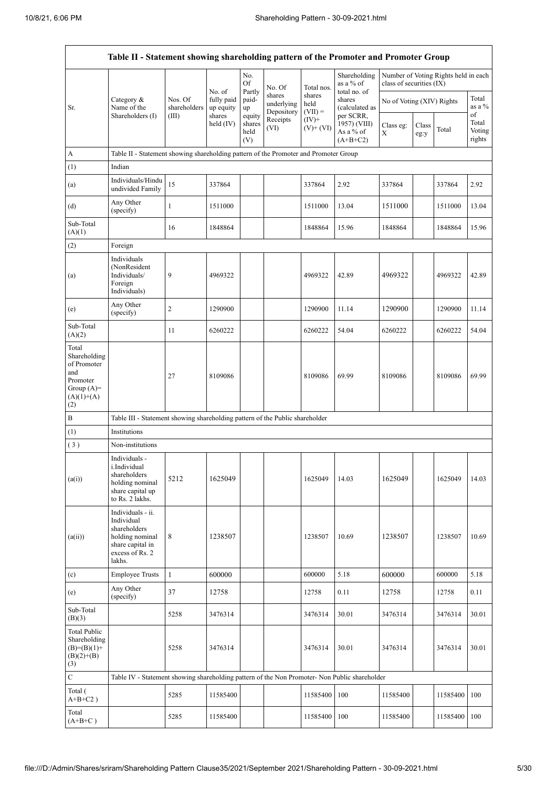$\overline{1}$ 

 $\overline{\mathsf{I}}$ 

|                                                                                                | Table II - Statement showing shareholding pattern of the Promoter and Promoter Group                                |                         |                                             |                                 |                                    |                             |                                                                                    |                                                                  |               |          |                           |
|------------------------------------------------------------------------------------------------|---------------------------------------------------------------------------------------------------------------------|-------------------------|---------------------------------------------|---------------------------------|------------------------------------|-----------------------------|------------------------------------------------------------------------------------|------------------------------------------------------------------|---------------|----------|---------------------------|
|                                                                                                |                                                                                                                     |                         |                                             | No.<br>Of                       | No. Of                             | Total nos.                  | Shareholding<br>as a % of<br>total no. of<br>shares<br>(calculated as<br>per SCRR, | Number of Voting Rights held in each<br>class of securities (IX) |               |          |                           |
| Sr.                                                                                            | Category &<br>Name of the<br>Shareholders (I)                                                                       | Nos. Of<br>shareholders | No. of<br>fully paid<br>up equity<br>shares | Partly<br>paid-<br>up<br>equity | shares<br>underlying<br>Depository | shares<br>held<br>$(VII) =$ |                                                                                    | No of Voting (XIV) Rights                                        |               |          | Total<br>as a %<br>of     |
|                                                                                                |                                                                                                                     | (III)                   | held $(IV)$                                 | shares<br>held<br>(V)           | Receipts<br>(VI)                   | $(IV)^+$<br>$(V)$ + $(VI)$  | 1957) (VIII)<br>As a % of<br>$(A+B+C2)$                                            | Class eg:<br>X                                                   | Class<br>eg:y | Total    | Total<br>Voting<br>rights |
| А                                                                                              | Table II - Statement showing shareholding pattern of the Promoter and Promoter Group                                |                         |                                             |                                 |                                    |                             |                                                                                    |                                                                  |               |          |                           |
| (1)                                                                                            | Indian                                                                                                              |                         |                                             |                                 |                                    |                             |                                                                                    |                                                                  |               |          |                           |
| (a)                                                                                            | Individuals/Hindu<br>undivided Family                                                                               | 15                      | 337864                                      |                                 |                                    | 337864                      | 2.92                                                                               | 337864                                                           |               | 337864   | 2.92                      |
| (d)                                                                                            | Any Other<br>(specify)                                                                                              | $\mathbf{1}$            | 1511000                                     |                                 |                                    | 1511000                     | 13.04                                                                              | 1511000                                                          |               | 1511000  | 13.04                     |
| Sub-Total<br>(A)(1)                                                                            |                                                                                                                     | 16                      | 1848864                                     |                                 |                                    | 1848864                     | 15.96                                                                              | 1848864                                                          |               | 1848864  | 15.96                     |
| (2)                                                                                            | Foreign                                                                                                             |                         |                                             |                                 |                                    |                             |                                                                                    |                                                                  |               |          |                           |
| (a)                                                                                            | Individuals<br>(NonResident<br>Individuals/<br>Foreign<br>Individuals)                                              | 9                       | 4969322                                     |                                 |                                    | 4969322                     | 42.89                                                                              | 4969322                                                          |               | 4969322  | 42.89                     |
| (e)                                                                                            | Any Other<br>(specify)                                                                                              | $\sqrt{2}$              | 1290900                                     |                                 |                                    | 1290900                     | 11.14                                                                              | 1290900                                                          |               | 1290900  | 11.14                     |
| Sub-Total<br>(A)(2)                                                                            |                                                                                                                     | 11                      | 6260222                                     |                                 |                                    | 6260222                     | 54.04                                                                              | 6260222                                                          |               | 6260222  | 54.04                     |
| Total<br>Shareholding<br>of Promoter<br>and<br>Promoter<br>Group $(A)=$<br>$(A)(1)+(A)$<br>(2) |                                                                                                                     | 27                      | 8109086                                     |                                 |                                    | 8109086                     | 69.99                                                                              | 8109086                                                          |               | 8109086  | 69.99                     |
| B                                                                                              | Table III - Statement showing shareholding pattern of the Public shareholder                                        |                         |                                             |                                 |                                    |                             |                                                                                    |                                                                  |               |          |                           |
| (1)                                                                                            | Institutions                                                                                                        |                         |                                             |                                 |                                    |                             |                                                                                    |                                                                  |               |          |                           |
| (3)                                                                                            | Non-institutions                                                                                                    |                         |                                             |                                 |                                    |                             |                                                                                    |                                                                  |               |          |                           |
| (a(i))                                                                                         | Individuals -<br>i.Individual<br>shareholders<br>holding nominal<br>share capital up<br>to Rs. 2 lakhs.             | 5212                    | 1625049                                     |                                 |                                    | 1625049                     | 14.03                                                                              | 1625049                                                          |               | 1625049  | 14.03                     |
| (a(ii))                                                                                        | Individuals - ii.<br>Individual<br>shareholders<br>holding nominal<br>share capital in<br>excess of Rs. 2<br>lakhs. | 8                       | 1238507                                     |                                 |                                    | 1238507                     | 10.69                                                                              | 1238507                                                          |               | 1238507  | 10.69                     |
| (c)                                                                                            | <b>Employee Trusts</b>                                                                                              | $\mathbf{1}$            | 600000                                      |                                 |                                    | 600000                      | 5.18                                                                               | 600000                                                           |               | 600000   | 5.18                      |
| (e)                                                                                            | Any Other<br>(specify)                                                                                              | 37                      | 12758                                       |                                 |                                    | 12758                       | 0.11                                                                               | 12758                                                            |               | 12758    | 0.11                      |
| Sub-Total<br>(B)(3)                                                                            |                                                                                                                     | 5258                    | 3476314                                     |                                 |                                    | 3476314                     | 30.01                                                                              | 3476314                                                          |               | 3476314  | 30.01                     |
| <b>Total Public</b><br>Shareholding<br>$(B)=(B)(1)+$<br>$(B)(2)+(B)$<br>(3)                    |                                                                                                                     | 5258                    | 3476314                                     |                                 |                                    | 3476314                     | 30.01                                                                              | 3476314                                                          |               | 3476314  | 30.01                     |
| $\mathbf C$                                                                                    | Table IV - Statement showing shareholding pattern of the Non Promoter- Non Public shareholder                       |                         |                                             |                                 |                                    |                             |                                                                                    |                                                                  |               |          |                           |
| Total (<br>$A+B+C2$ )                                                                          |                                                                                                                     | 5285                    | 11585400                                    |                                 |                                    | 11585400                    | 100                                                                                | 11585400                                                         |               | 11585400 | 100                       |
| Total<br>$(A+B+C)$                                                                             |                                                                                                                     | 5285                    | 11585400                                    |                                 |                                    | 11585400                    | 100                                                                                | 11585400                                                         |               | 11585400 | 100                       |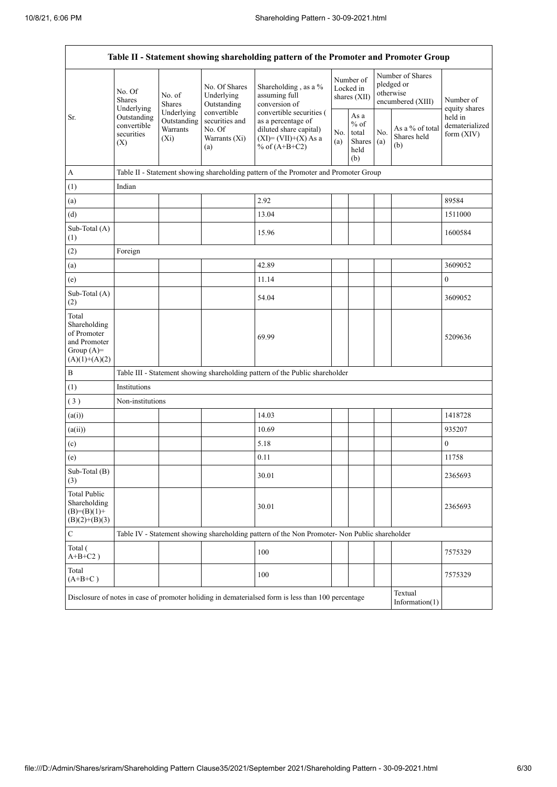| Table II - Statement showing shareholding pattern of the Promoter and Promoter Group    |                                                                                                                                    |                                                                                      |                                                                 |                                                                                                                        |  |                                                         |            |                                                                  |                                           |  |  |
|-----------------------------------------------------------------------------------------|------------------------------------------------------------------------------------------------------------------------------------|--------------------------------------------------------------------------------------|-----------------------------------------------------------------|------------------------------------------------------------------------------------------------------------------------|--|---------------------------------------------------------|------------|------------------------------------------------------------------|-------------------------------------------|--|--|
|                                                                                         | No. Of<br><b>Shares</b><br>Underlying                                                                                              | No. of<br><b>Shares</b>                                                              | No. Of Shares<br>Underlying<br>Outstanding                      | Shareholding, as a %<br>assuming full<br>conversion of                                                                 |  | Number of<br>Locked in<br>shares (XII)                  |            | Number of Shares<br>pledged or<br>otherwise<br>encumbered (XIII) | Number of<br>equity shares                |  |  |
| Sr.<br>(X)                                                                              | Outstanding<br>convertible<br>securities                                                                                           | Underlying<br>Outstanding<br><b>Warrants</b><br>$(X_i)$                              | convertible<br>securities and<br>No. Of<br>Warrants (Xi)<br>(a) | convertible securities (<br>as a percentage of<br>diluted share capital)<br>$(XI) = (VII)+(X) As a$<br>% of $(A+B+C2)$ |  | As a<br>$%$ of<br>total<br><b>Shares</b><br>held<br>(b) | No.<br>(a) | As a % of total<br>Shares held<br>(b)                            | held in<br>dematerialized<br>form $(XIV)$ |  |  |
| А                                                                                       |                                                                                                                                    | Table II - Statement showing shareholding pattern of the Promoter and Promoter Group |                                                                 |                                                                                                                        |  |                                                         |            |                                                                  |                                           |  |  |
| (1)                                                                                     | Indian                                                                                                                             |                                                                                      |                                                                 |                                                                                                                        |  |                                                         |            |                                                                  |                                           |  |  |
| (a)                                                                                     |                                                                                                                                    |                                                                                      |                                                                 | 2.92                                                                                                                   |  |                                                         |            |                                                                  | 89584                                     |  |  |
| (d)                                                                                     |                                                                                                                                    |                                                                                      |                                                                 | 13.04                                                                                                                  |  |                                                         |            |                                                                  | 1511000                                   |  |  |
| Sub-Total (A)<br>(1)                                                                    |                                                                                                                                    |                                                                                      |                                                                 | 15.96                                                                                                                  |  |                                                         |            |                                                                  | 1600584                                   |  |  |
| (2)                                                                                     | Foreign                                                                                                                            |                                                                                      |                                                                 |                                                                                                                        |  |                                                         |            |                                                                  |                                           |  |  |
| (a)                                                                                     |                                                                                                                                    |                                                                                      |                                                                 | 42.89                                                                                                                  |  |                                                         |            |                                                                  | 3609052                                   |  |  |
| (e)                                                                                     |                                                                                                                                    |                                                                                      |                                                                 | 11.14                                                                                                                  |  |                                                         |            |                                                                  | $\boldsymbol{0}$                          |  |  |
| Sub-Total (A)<br>(2)                                                                    |                                                                                                                                    |                                                                                      |                                                                 | 54.04                                                                                                                  |  |                                                         |            |                                                                  | 3609052                                   |  |  |
| Total<br>Shareholding<br>of Promoter<br>and Promoter<br>Group $(A)=$<br>$(A)(1)+(A)(2)$ |                                                                                                                                    |                                                                                      |                                                                 | 69.99                                                                                                                  |  |                                                         |            |                                                                  | 5209636                                   |  |  |
| $\, {\bf B}$                                                                            |                                                                                                                                    |                                                                                      |                                                                 | Table III - Statement showing shareholding pattern of the Public shareholder                                           |  |                                                         |            |                                                                  |                                           |  |  |
| (1)                                                                                     | Institutions                                                                                                                       |                                                                                      |                                                                 |                                                                                                                        |  |                                                         |            |                                                                  |                                           |  |  |
| (3)                                                                                     | Non-institutions                                                                                                                   |                                                                                      |                                                                 |                                                                                                                        |  |                                                         |            |                                                                  |                                           |  |  |
| (a(i))                                                                                  |                                                                                                                                    |                                                                                      |                                                                 | 14.03                                                                                                                  |  |                                                         |            |                                                                  | 1418728                                   |  |  |
| (a(ii))                                                                                 |                                                                                                                                    |                                                                                      |                                                                 | 10.69                                                                                                                  |  |                                                         |            |                                                                  | 935207                                    |  |  |
| (c)                                                                                     |                                                                                                                                    |                                                                                      |                                                                 | 5.18                                                                                                                   |  |                                                         |            |                                                                  | $\boldsymbol{0}$                          |  |  |
| (e)                                                                                     |                                                                                                                                    |                                                                                      |                                                                 | 0.11                                                                                                                   |  |                                                         |            |                                                                  | 11758                                     |  |  |
| Sub-Total (B)<br>(3)                                                                    |                                                                                                                                    |                                                                                      |                                                                 | 30.01                                                                                                                  |  |                                                         |            |                                                                  | 2365693                                   |  |  |
| <b>Total Public</b><br>Shareholding<br>$(B)= (B)(1) +$<br>$(B)(2)+(B)(3)$               |                                                                                                                                    |                                                                                      |                                                                 | 30.01                                                                                                                  |  |                                                         |            |                                                                  | 2365693                                   |  |  |
| $\mathbf C$                                                                             |                                                                                                                                    |                                                                                      |                                                                 | Table IV - Statement showing shareholding pattern of the Non Promoter- Non Public shareholder                          |  |                                                         |            |                                                                  |                                           |  |  |
| Total (<br>$A+B+C2$ )                                                                   |                                                                                                                                    |                                                                                      |                                                                 | 100                                                                                                                    |  |                                                         |            |                                                                  | 7575329                                   |  |  |
| Total<br>$(A+B+C)$                                                                      |                                                                                                                                    |                                                                                      |                                                                 | 100                                                                                                                    |  |                                                         |            |                                                                  | 7575329                                   |  |  |
|                                                                                         | Textual<br>Disclosure of notes in case of promoter holiding in dematerialsed form is less than 100 percentage<br>Information $(1)$ |                                                                                      |                                                                 |                                                                                                                        |  |                                                         |            |                                                                  |                                           |  |  |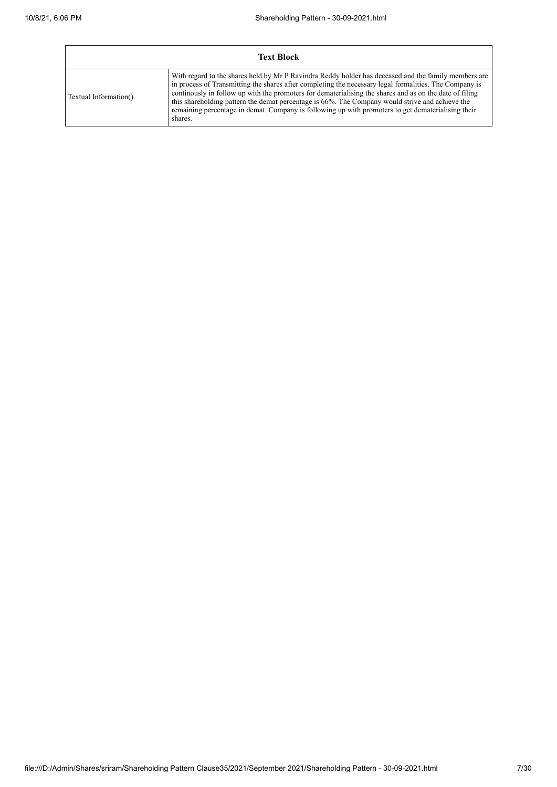| <b>Text Block</b>     |                                                                                                                                                                                                                                                                                                                                                                                                                                                                                                                                                |  |  |  |  |  |
|-----------------------|------------------------------------------------------------------------------------------------------------------------------------------------------------------------------------------------------------------------------------------------------------------------------------------------------------------------------------------------------------------------------------------------------------------------------------------------------------------------------------------------------------------------------------------------|--|--|--|--|--|
| Textual Information() | With regard to the shares held by Mr P Ravindra Reddy holder has deceased and the family members are<br>in process of Transmitting the shares after completing the necessary legal formalities. The Company is<br>continuously in follow up with the promoters for dematerialising the shares and as on the date of filing<br>this shareholding pattern the demat percentage is 66%. The Company would strive and achieve the<br>remaining percentage in demat. Company is following up with promoters to get dematerialising their<br>shares. |  |  |  |  |  |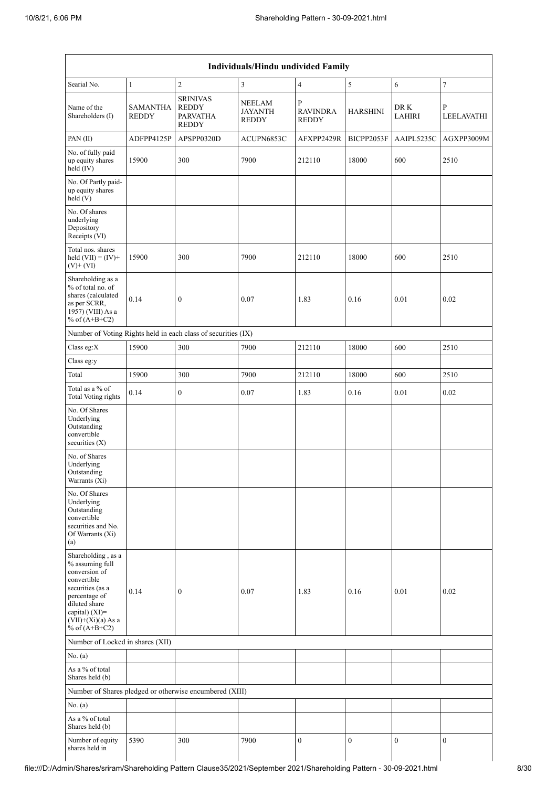|                                                                                                                                                                                          |                                 |                                                                    | Individuals/Hindu undivided Family              |                                                 |                  |                       |                  |
|------------------------------------------------------------------------------------------------------------------------------------------------------------------------------------------|---------------------------------|--------------------------------------------------------------------|-------------------------------------------------|-------------------------------------------------|------------------|-----------------------|------------------|
| Searial No.                                                                                                                                                                              | $\mathbf{1}$                    | $\overline{c}$                                                     | 3                                               | $\overline{4}$                                  | 5                | 6                     | 7                |
| Name of the<br>Shareholders (I)                                                                                                                                                          | <b>SAMANTHA</b><br><b>REDDY</b> | <b>SRINIVAS</b><br><b>REDDY</b><br><b>PARVATHA</b><br><b>REDDY</b> | <b>NEELAM</b><br><b>JAYANTH</b><br><b>REDDY</b> | $\mathbf{P}$<br><b>RAVINDRA</b><br><b>REDDY</b> | <b>HARSHINI</b>  | DR K<br><b>LAHIRI</b> | P<br>LEELAVATHI  |
| PAN(II)                                                                                                                                                                                  | ADFPP4125P                      | APSPP0320D                                                         | ACUPN6853C                                      | AFXPP2429R                                      | BICPP2053F       | AAIPL5235C            | AGXPP3009M       |
| No. of fully paid<br>up equity shares<br>held $(IV)$                                                                                                                                     | 15900                           | 300                                                                | 7900                                            | 212110                                          | 18000            | 600                   | 2510             |
| No. Of Partly paid-<br>up equity shares<br>held(V)                                                                                                                                       |                                 |                                                                    |                                                 |                                                 |                  |                       |                  |
| No. Of shares<br>underlying<br>Depository<br>Receipts (VI)                                                                                                                               |                                 |                                                                    |                                                 |                                                 |                  |                       |                  |
| Total nos. shares<br>held $(VII) = (IV) +$<br>$(V) + (VI)$                                                                                                                               | 15900                           | 300                                                                | 7900                                            | 212110                                          | 18000            | 600                   | 2510             |
| Shareholding as a<br>% of total no. of<br>shares (calculated<br>as per SCRR,<br>1957) (VIII) As a<br>% of $(A+B+C2)$                                                                     | 0.14                            | $\boldsymbol{0}$                                                   | 0.07                                            | 1.83                                            | 0.16             | 0.01                  | 0.02             |
|                                                                                                                                                                                          |                                 | Number of Voting Rights held in each class of securities (IX)      |                                                 |                                                 |                  |                       |                  |
| Class eg:X                                                                                                                                                                               | 15900                           | 300                                                                | 7900                                            | 212110                                          | 18000            | 600                   | 2510             |
| Class eg:y                                                                                                                                                                               |                                 |                                                                    |                                                 |                                                 |                  |                       |                  |
| Total                                                                                                                                                                                    | 15900                           | 300                                                                | 7900                                            | 212110                                          | 18000            | 600                   | 2510             |
| Total as a % of<br><b>Total Voting rights</b>                                                                                                                                            | 0.14                            | $\boldsymbol{0}$                                                   | 0.07                                            | 1.83                                            | 0.16             | 0.01                  | 0.02             |
| No. Of Shares<br>Underlying<br>Outstanding<br>convertible<br>securities (X)                                                                                                              |                                 |                                                                    |                                                 |                                                 |                  |                       |                  |
| No. of Shares<br>Underlying<br>Outstanding<br>Warrants (Xi)                                                                                                                              |                                 |                                                                    |                                                 |                                                 |                  |                       |                  |
| No. Of Shares<br>Underlying<br>Outstanding<br>convertible<br>securities and No.<br>Of Warrants (Xi)<br>(a)                                                                               |                                 |                                                                    |                                                 |                                                 |                  |                       |                  |
| Shareholding, as a<br>% assuming full<br>conversion of<br>convertible<br>securities (as a<br>percentage of<br>diluted share<br>capital) (XI)=<br>$(VII)+(Xi)(a)$ As a<br>% of $(A+B+C2)$ | 0.14                            | $\boldsymbol{0}$                                                   | 0.07                                            | 1.83                                            | 0.16             | 0.01                  | 0.02             |
| Number of Locked in shares (XII)                                                                                                                                                         |                                 |                                                                    |                                                 |                                                 |                  |                       |                  |
| No. $(a)$                                                                                                                                                                                |                                 |                                                                    |                                                 |                                                 |                  |                       |                  |
| As a % of total<br>Shares held (b)                                                                                                                                                       |                                 |                                                                    |                                                 |                                                 |                  |                       |                  |
|                                                                                                                                                                                          |                                 | Number of Shares pledged or otherwise encumbered (XIII)            |                                                 |                                                 |                  |                       |                  |
| No. (a)                                                                                                                                                                                  |                                 |                                                                    |                                                 |                                                 |                  |                       |                  |
| As a % of total<br>Shares held (b)                                                                                                                                                       |                                 |                                                                    |                                                 |                                                 |                  |                       |                  |
| Number of equity<br>shares held in                                                                                                                                                       | 5390                            | 300                                                                | 7900                                            | $\boldsymbol{0}$                                | $\boldsymbol{0}$ | $\boldsymbol{0}$      | $\boldsymbol{0}$ |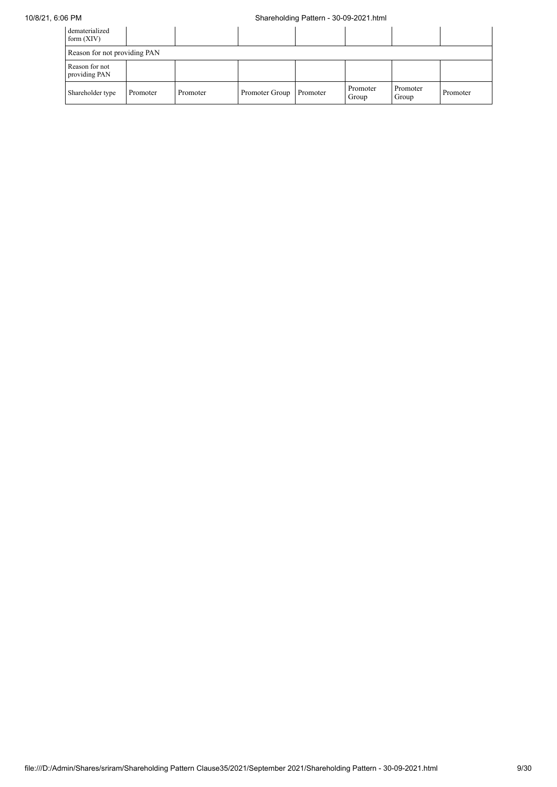# 10/8/21, 6:06 PM Shareholding Pattern - 30-09-2021.html

| dematerialized<br>form $(XIV)$  |          |          |                |          |                   |                   |          |
|---------------------------------|----------|----------|----------------|----------|-------------------|-------------------|----------|
| Reason for not providing PAN    |          |          |                |          |                   |                   |          |
| Reason for not<br>providing PAN |          |          |                |          |                   |                   |          |
| Shareholder type                | Promoter | Promoter | Promoter Group | Promoter | Promoter<br>Group | Promoter<br>Group | Promoter |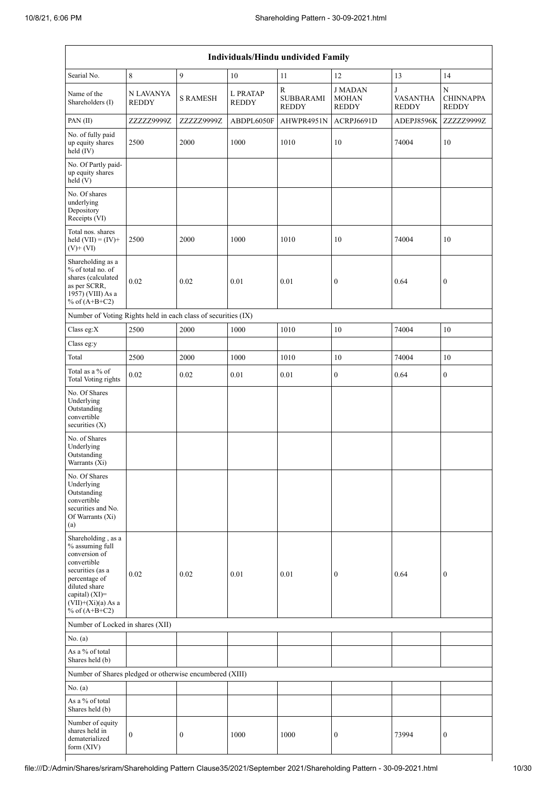| Individuals/Hindu undivided Family                                                                                                                                                       |                           |                  |                          |                                               |                                               |                                      |                                       |
|------------------------------------------------------------------------------------------------------------------------------------------------------------------------------------------|---------------------------|------------------|--------------------------|-----------------------------------------------|-----------------------------------------------|--------------------------------------|---------------------------------------|
| Searial No.                                                                                                                                                                              | $\,8\,$                   | $\overline{9}$   | 10                       | 11                                            | 12                                            | 13                                   | 14                                    |
| Name of the<br>Shareholders (I)                                                                                                                                                          | N LAVANYA<br><b>REDDY</b> | <b>S RAMESH</b>  | L PRATAP<br><b>REDDY</b> | ${\bf R}$<br><b>SUBBARAMI</b><br><b>REDDY</b> | <b>JMADAN</b><br><b>MOHAN</b><br><b>REDDY</b> | J<br><b>VASANTHA</b><br><b>REDDY</b> | N<br><b>CHINNAPPA</b><br><b>REDDY</b> |
| PAN(II)                                                                                                                                                                                  | ZZZZZ9999Z                | ZZZZZ9999Z       | ABDPL6050F               | AHWPR4951N                                    | ACRPJ6691D                                    | ADEPJ8596K                           | ZZZZZ9999Z                            |
| No. of fully paid<br>up equity shares<br>held (IV)                                                                                                                                       | 2500                      | 2000             | 1000                     | 1010                                          | $10$                                          | 74004                                | 10                                    |
| No. Of Partly paid-<br>up equity shares<br>held(V)                                                                                                                                       |                           |                  |                          |                                               |                                               |                                      |                                       |
| No. Of shares<br>underlying<br>Depository<br>Receipts (VI)                                                                                                                               |                           |                  |                          |                                               |                                               |                                      |                                       |
| Total nos. shares<br>held $(VII) = (IV) +$<br>$(V)$ + $(VI)$                                                                                                                             | 2500                      | 2000             | 1000                     | 1010                                          | 10                                            | 74004                                | 10                                    |
| Shareholding as a<br>% of total no. of<br>shares (calculated<br>as per SCRR,<br>1957) (VIII) As a<br>% of $(A+B+C2)$                                                                     | 0.02                      | 0.02             | 0.01                     | 0.01                                          | $\boldsymbol{0}$                              | 0.64                                 | $\boldsymbol{0}$                      |
| Number of Voting Rights held in each class of securities (IX)                                                                                                                            |                           |                  |                          |                                               |                                               |                                      |                                       |
| Class eg:X                                                                                                                                                                               | 2500                      | 2000             | 1000                     | 1010                                          | 10                                            | 74004                                | 10                                    |
| Class eg:y                                                                                                                                                                               |                           |                  |                          |                                               |                                               |                                      |                                       |
| Total                                                                                                                                                                                    | 2500                      | 2000             | 1000                     | 1010                                          | 10                                            | 74004                                | 10                                    |
| Total as a % of<br>Total Voting rights                                                                                                                                                   | $0.02\,$                  | $0.02\,$         | 0.01                     | 0.01                                          | $\mathbf{0}$                                  | 0.64                                 | $\boldsymbol{0}$                      |
| No. Of Shares<br>Underlying<br>Outstanding<br>convertible<br>securities $(X)$                                                                                                            |                           |                  |                          |                                               |                                               |                                      |                                       |
| No. of Shares<br>Underlying<br>Outstanding<br>Warrants (Xi)                                                                                                                              |                           |                  |                          |                                               |                                               |                                      |                                       |
| No. Of Shares<br>Underlying<br>Outstanding<br>convertible<br>securities and No.<br>Of Warrants (Xi)<br>(a)                                                                               |                           |                  |                          |                                               |                                               |                                      |                                       |
| Shareholding, as a<br>% assuming full<br>conversion of<br>convertible<br>securities (as a<br>percentage of<br>diluted share<br>capital) (XI)=<br>$(VII)+(Xi)(a)$ As a<br>% of $(A+B+C2)$ | 0.02                      | 0.02             | 0.01                     | 0.01                                          | $\boldsymbol{0}$                              | 0.64                                 | $\boldsymbol{0}$                      |
| Number of Locked in shares (XII)                                                                                                                                                         |                           |                  |                          |                                               |                                               |                                      |                                       |
| No. (a)                                                                                                                                                                                  |                           |                  |                          |                                               |                                               |                                      |                                       |
| As a % of total<br>Shares held (b)                                                                                                                                                       |                           |                  |                          |                                               |                                               |                                      |                                       |
| Number of Shares pledged or otherwise encumbered (XIII)                                                                                                                                  |                           |                  |                          |                                               |                                               |                                      |                                       |
| No. (a)                                                                                                                                                                                  |                           |                  |                          |                                               |                                               |                                      |                                       |
| As a % of total<br>Shares held (b)                                                                                                                                                       |                           |                  |                          |                                               |                                               |                                      |                                       |
| Number of equity<br>shares held in<br>dematerialized<br>form $(XIV)$                                                                                                                     | $\boldsymbol{0}$          | $\boldsymbol{0}$ | 1000                     | 1000                                          | $\boldsymbol{0}$                              | 73994                                | $\boldsymbol{0}$                      |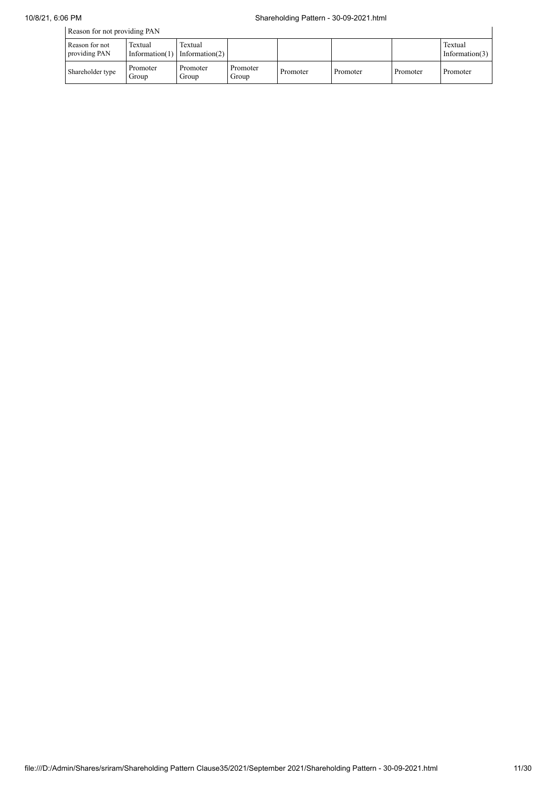| Reason for not providing PAN    |                              |                              |                   |          |          |          |                              |
|---------------------------------|------------------------------|------------------------------|-------------------|----------|----------|----------|------------------------------|
| Reason for not<br>providing PAN | Textual<br>Information $(1)$ | Textual<br>Information $(2)$ |                   |          |          |          | Textual<br>Information $(3)$ |
| Shareholder type                | Promoter<br>Group            | Promoter<br>Group            | Promoter<br>Group | Promoter | Promoter | Promoter | Promoter                     |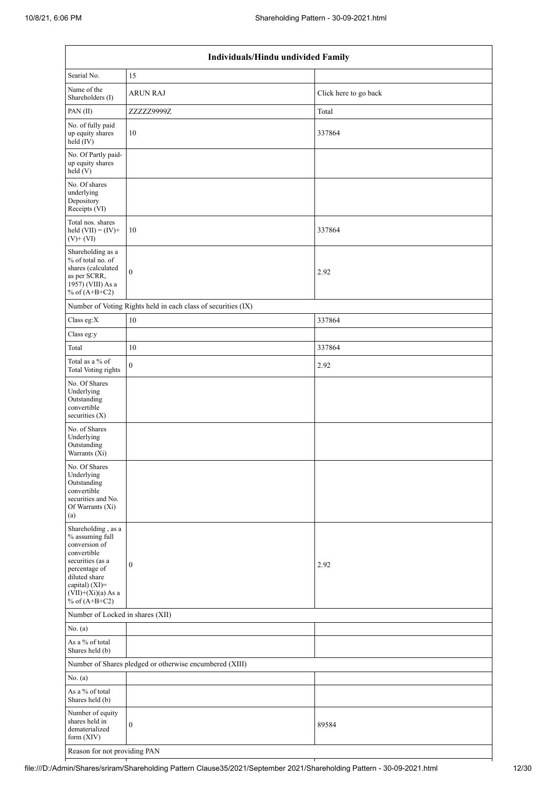| Individuals/Hindu undivided Family                                                                                                                                                       |                                                               |                       |  |  |  |  |  |
|------------------------------------------------------------------------------------------------------------------------------------------------------------------------------------------|---------------------------------------------------------------|-----------------------|--|--|--|--|--|
| Searial No.                                                                                                                                                                              | 15                                                            |                       |  |  |  |  |  |
| Name of the<br>Shareholders (I)                                                                                                                                                          | <b>ARUN RAJ</b>                                               | Click here to go back |  |  |  |  |  |
| PAN(II)                                                                                                                                                                                  | ZZZZZ9999Z                                                    | Total                 |  |  |  |  |  |
| No. of fully paid<br>up equity shares<br>held (IV)                                                                                                                                       | 10                                                            | 337864                |  |  |  |  |  |
| No. Of Partly paid-<br>up equity shares<br>held(V)                                                                                                                                       |                                                               |                       |  |  |  |  |  |
| No. Of shares<br>underlying<br>Depository<br>Receipts (VI)                                                                                                                               |                                                               |                       |  |  |  |  |  |
| Total nos. shares<br>held $(VII) = (IV) +$<br>$(V)$ + $(VI)$                                                                                                                             | 10                                                            | 337864                |  |  |  |  |  |
| Shareholding as a<br>% of total no. of<br>shares (calculated<br>as per SCRR,<br>1957) (VIII) As a<br>% of $(A+B+C2)$                                                                     | $\mathbf{0}$                                                  | 2.92                  |  |  |  |  |  |
|                                                                                                                                                                                          | Number of Voting Rights held in each class of securities (IX) |                       |  |  |  |  |  |
| Class eg:X                                                                                                                                                                               | 10                                                            | 337864                |  |  |  |  |  |
| Class eg:y                                                                                                                                                                               |                                                               |                       |  |  |  |  |  |
| Total                                                                                                                                                                                    | 10                                                            | 337864                |  |  |  |  |  |
| Total as a % of<br><b>Total Voting rights</b>                                                                                                                                            | $\boldsymbol{0}$                                              | 2.92                  |  |  |  |  |  |
| No. Of Shares<br>Underlying<br>Outstanding<br>convertible<br>securities (X)                                                                                                              |                                                               |                       |  |  |  |  |  |
| No. of Shares<br>Underlying<br>Outstanding<br>Warrants (Xi)                                                                                                                              |                                                               |                       |  |  |  |  |  |
| No. Of Shares<br>Underlying<br>Outstanding<br>convertible<br>securities and No.<br>Of Warrants (Xi)<br>(a)                                                                               |                                                               |                       |  |  |  |  |  |
| Shareholding, as a<br>% assuming full<br>conversion of<br>convertible<br>securities (as a<br>percentage of<br>diluted share<br>capital) (XI)=<br>$(VII)+(Xi)(a)$ As a<br>% of $(A+B+C2)$ | $\boldsymbol{0}$                                              | 2.92                  |  |  |  |  |  |
| Number of Locked in shares (XII)                                                                                                                                                         |                                                               |                       |  |  |  |  |  |
| No. $(a)$                                                                                                                                                                                |                                                               |                       |  |  |  |  |  |
| As a % of total<br>Shares held (b)                                                                                                                                                       |                                                               |                       |  |  |  |  |  |
| Number of Shares pledged or otherwise encumbered (XIII)                                                                                                                                  |                                                               |                       |  |  |  |  |  |
| No. (a)                                                                                                                                                                                  |                                                               |                       |  |  |  |  |  |
| As a % of total<br>Shares held (b)                                                                                                                                                       |                                                               |                       |  |  |  |  |  |
| Number of equity<br>shares held in<br>dematerialized<br>form $(XIV)$                                                                                                                     | $\boldsymbol{0}$                                              | 89584                 |  |  |  |  |  |
| Reason for not providing PAN                                                                                                                                                             |                                                               |                       |  |  |  |  |  |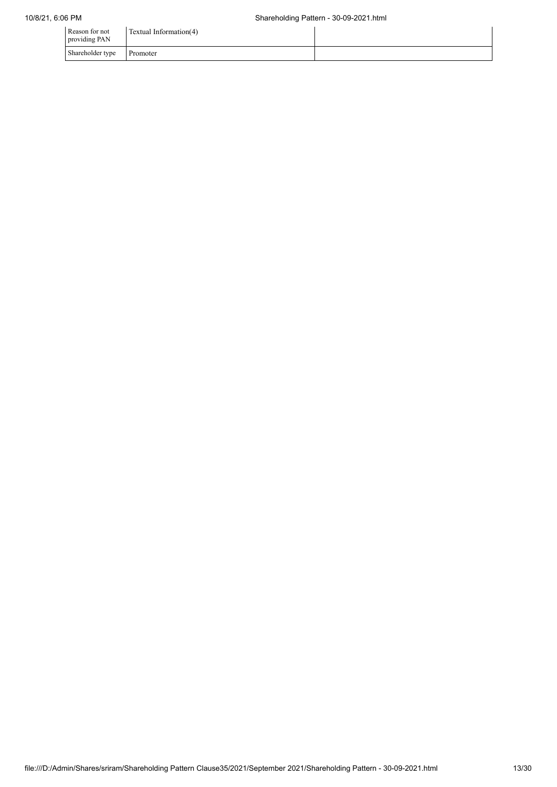| Reason for not<br>providing PAN | Textual Information(4) |  |
|---------------------------------|------------------------|--|
| Shareholder type                | Promoter               |  |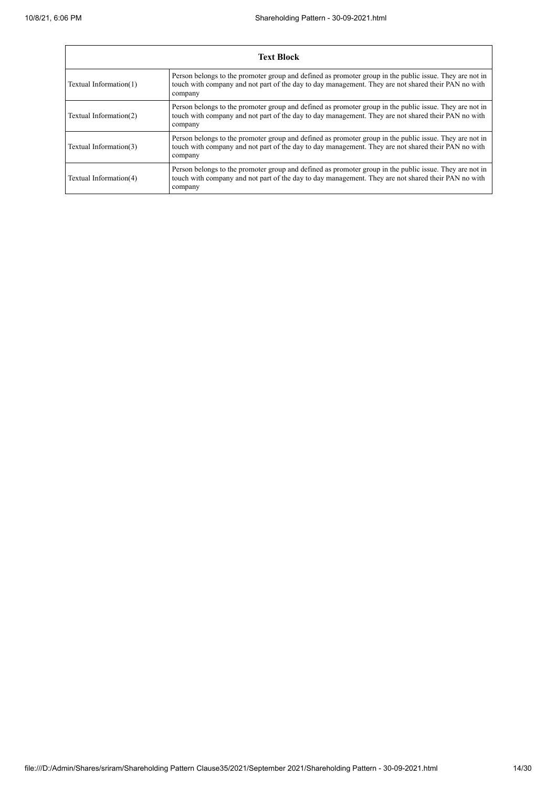$\overline{1}$ 

| <b>Text Block</b>      |                                                                                                                                                                                                                           |  |  |
|------------------------|---------------------------------------------------------------------------------------------------------------------------------------------------------------------------------------------------------------------------|--|--|
| Textual Information(1) | Person belongs to the promoter group and defined as promoter group in the public issue. They are not in<br>touch with company and not part of the day to day management. They are not shared their PAN no with<br>company |  |  |
| Textual Information(2) | Person belongs to the promoter group and defined as promoter group in the public issue. They are not in<br>touch with company and not part of the day to day management. They are not shared their PAN no with<br>company |  |  |
| Textual Information(3) | Person belongs to the promoter group and defined as promoter group in the public issue. They are not in<br>touch with company and not part of the day to day management. They are not shared their PAN no with<br>company |  |  |
| Textual Information(4) | Person belongs to the promoter group and defined as promoter group in the public issue. They are not in<br>touch with company and not part of the day to day management. They are not shared their PAN no with<br>company |  |  |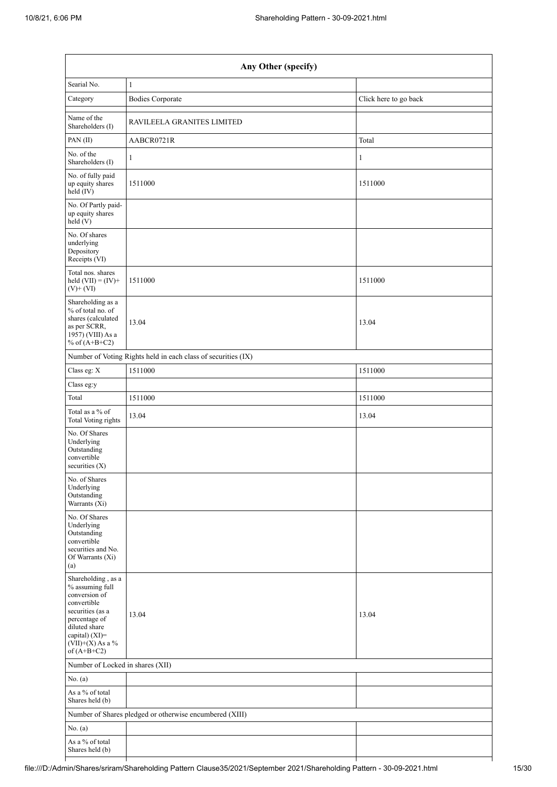| Any Other (specify)                                                                                                                                                                  |                                                               |                       |  |  |
|--------------------------------------------------------------------------------------------------------------------------------------------------------------------------------------|---------------------------------------------------------------|-----------------------|--|--|
| Searial No.                                                                                                                                                                          | $\mathbf{1}$                                                  |                       |  |  |
| Category                                                                                                                                                                             | <b>Bodies Corporate</b>                                       | Click here to go back |  |  |
| Name of the<br>Shareholders (I)                                                                                                                                                      | RAVILEELA GRANITES LIMITED                                    |                       |  |  |
| PAN (II)                                                                                                                                                                             | AABCR0721R                                                    | Total                 |  |  |
| No. of the<br>Shareholders (I)                                                                                                                                                       | 1                                                             | 1                     |  |  |
| No. of fully paid<br>up equity shares<br>held (IV)                                                                                                                                   | 1511000                                                       | 1511000               |  |  |
| No. Of Partly paid-<br>up equity shares<br>held(V)                                                                                                                                   |                                                               |                       |  |  |
| No. Of shares<br>underlying<br>Depository<br>Receipts (VI)                                                                                                                           |                                                               |                       |  |  |
| Total nos. shares<br>held $(VII) = (IV) +$<br>$(V) + (VI)$                                                                                                                           | 1511000                                                       | 1511000               |  |  |
| Shareholding as a<br>% of total no. of<br>shares (calculated<br>as per SCRR,<br>$19\overline{57}$ ) (VIII) As a<br>% of $(A+B+C2)$                                                   | 13.04                                                         | 13.04                 |  |  |
|                                                                                                                                                                                      | Number of Voting Rights held in each class of securities (IX) |                       |  |  |
| Class eg: X                                                                                                                                                                          | 1511000                                                       | 1511000               |  |  |
| Class eg:y                                                                                                                                                                           |                                                               |                       |  |  |
| Total                                                                                                                                                                                | 1511000                                                       | 1511000               |  |  |
| Total as a % of<br><b>Total Voting rights</b>                                                                                                                                        | 13.04                                                         | 13.04                 |  |  |
| No. Of Shares<br>Underlying<br>Outstanding<br>convertible<br>securities $(X)$                                                                                                        |                                                               |                       |  |  |
| No. of Shares<br>Underlying<br>Outstanding<br>Warrants (Xi)                                                                                                                          |                                                               |                       |  |  |
| No. Of Shares<br>Underlying<br>Outstanding<br>convertible<br>securities and No.<br>Of Warrants (Xi)<br>(a)                                                                           |                                                               |                       |  |  |
| Shareholding, as a<br>% assuming full<br>conversion of<br>convertible<br>securities (as a<br>percentage of<br>diluted share<br>capital) (XI)=<br>$(VII)+(X)$ As a %<br>of $(A+B+C2)$ | 13.04                                                         | 13.04                 |  |  |
| Number of Locked in shares (XII)                                                                                                                                                     |                                                               |                       |  |  |
| No. (a)                                                                                                                                                                              |                                                               |                       |  |  |
| As a % of total                                                                                                                                                                      |                                                               |                       |  |  |
| Shares held (b)                                                                                                                                                                      |                                                               |                       |  |  |
| No. (a)                                                                                                                                                                              | Number of Shares pledged or otherwise encumbered (XIII)       |                       |  |  |
| As a % of total<br>Shares held (b)                                                                                                                                                   |                                                               |                       |  |  |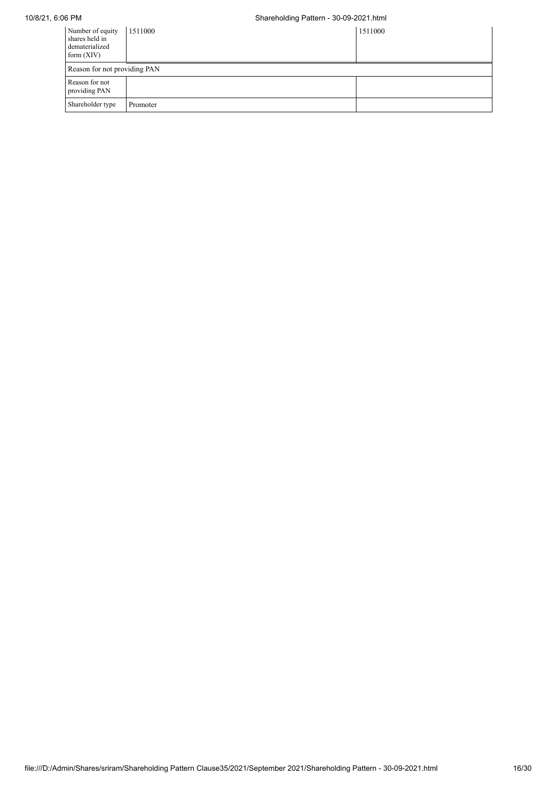# 10/8/21, 6:06 PM Shareholding Pattern - 30-09-2021.html

| Number of equity<br>shares held in<br>dematerialized<br>form $(XIV)$ | 1511000  | 1511000 |
|----------------------------------------------------------------------|----------|---------|
| Reason for not providing PAN                                         |          |         |
| Reason for not<br>providing PAN                                      |          |         |
| Shareholder type                                                     | Promoter |         |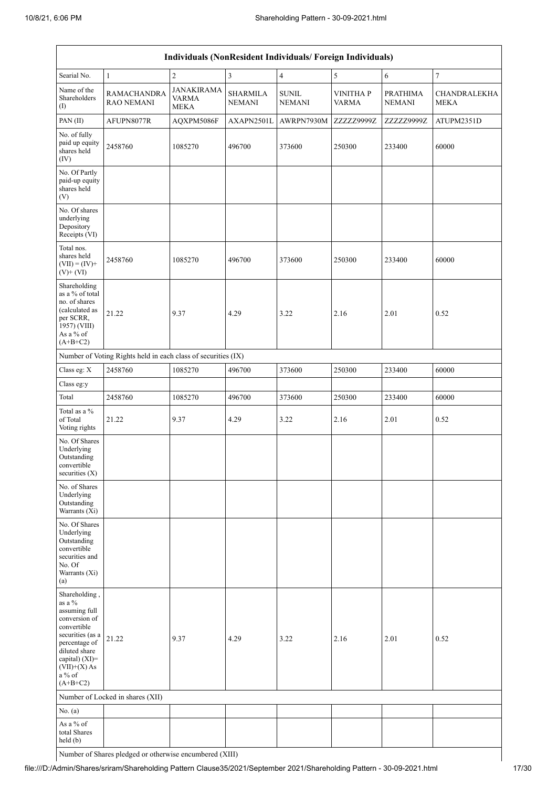| Individuals (NonResident Individuals/Foreign Individuals)                                                                                                                                    |                                                               |                                                  |                                  |                               |                                 |                                  |                             |
|----------------------------------------------------------------------------------------------------------------------------------------------------------------------------------------------|---------------------------------------------------------------|--------------------------------------------------|----------------------------------|-------------------------------|---------------------------------|----------------------------------|-----------------------------|
| Searial No.                                                                                                                                                                                  | $\mathbf{1}$                                                  | $\sqrt{2}$                                       | $\mathfrak{Z}$                   | $\overline{4}$                | $\sqrt{5}$                      | 6                                | $\boldsymbol{7}$            |
| Name of the<br>Shareholders<br>(1)                                                                                                                                                           | <b>RAMACHANDRA</b><br><b>RAO NEMANI</b>                       | <b>JANAKIRAMA</b><br><b>VARMA</b><br><b>MEKA</b> | <b>SHARMILA</b><br><b>NEMANI</b> | <b>SUNIL</b><br><b>NEMANI</b> | <b>VINITHAP</b><br><b>VARMA</b> | <b>PRATHIMA</b><br><b>NEMANI</b> | CHANDRALEKHA<br><b>MEKA</b> |
| PAN (II)                                                                                                                                                                                     | AFUPN8077R                                                    | AQXPM5086F                                       | AXAPN2501L                       | AWRPN7930M                    | ZZZZZ9999Z                      | ZZZZZ9999Z                       | ATUPM2351D                  |
| No. of fully<br>paid up equity<br>shares held<br>(IV)                                                                                                                                        | 2458760                                                       | 1085270                                          | 496700                           | 373600                        | 250300                          | 233400                           | 60000                       |
| No. Of Partly<br>paid-up equity<br>shares held<br>(V)                                                                                                                                        |                                                               |                                                  |                                  |                               |                                 |                                  |                             |
| No. Of shares<br>underlying<br>Depository<br>Receipts (VI)                                                                                                                                   |                                                               |                                                  |                                  |                               |                                 |                                  |                             |
| Total nos.<br>shares held<br>$(VII) = (IV) +$<br>$(V)$ + $(VI)$                                                                                                                              | 2458760                                                       | 1085270                                          | 496700                           | 373600                        | 250300                          | 233400                           | 60000                       |
| Shareholding<br>as a % of total<br>no. of shares<br>(calculated as<br>per SCRR,<br>$1957)$ (VIII)<br>As a % of<br>$(A+B+C2)$                                                                 | 21.22                                                         | 9.37                                             | 4.29                             | 3.22                          | 2.16                            | 2.01                             | 0.52                        |
|                                                                                                                                                                                              | Number of Voting Rights held in each class of securities (IX) |                                                  |                                  |                               |                                 |                                  |                             |
| Class eg: X                                                                                                                                                                                  | 2458760                                                       | 1085270                                          | 496700                           | 373600                        | 250300                          | 233400                           | 60000                       |
| Class eg:y                                                                                                                                                                                   |                                                               |                                                  |                                  |                               |                                 |                                  |                             |
| Total                                                                                                                                                                                        | 2458760                                                       | 1085270                                          | 496700                           | 373600                        | 250300                          | 233400                           | 60000                       |
| Total as a %<br>of Total<br>Voting rights                                                                                                                                                    | 21.22                                                         | 9.37                                             | 4.29                             | 3.22                          | 2.16                            | 2.01                             | 0.52                        |
| No. Of Shares<br>Underlying<br>Outstanding<br>convertible<br>securities $(X)$                                                                                                                |                                                               |                                                  |                                  |                               |                                 |                                  |                             |
| No. of Shares<br>Underlying<br>Outstanding<br>Warrants (Xi)                                                                                                                                  |                                                               |                                                  |                                  |                               |                                 |                                  |                             |
| No. Of Shares<br>Underlying<br>Outstanding<br>convertible<br>securities and<br>No. Of<br>Warrants (Xi)<br>(a)                                                                                |                                                               |                                                  |                                  |                               |                                 |                                  |                             |
| Shareholding,<br>as a %<br>assuming full<br>conversion of<br>convertible<br>securities (as a<br>percentage of<br>diluted share<br>capital) (XI)=<br>$(VII)+(X)$ As<br>$a\%$ of<br>$(A+B+C2)$ | 21.22                                                         | 9.37                                             | 4.29                             | 3.22                          | 2.16                            | 2.01                             | 0.52                        |
|                                                                                                                                                                                              | Number of Locked in shares (XII)                              |                                                  |                                  |                               |                                 |                                  |                             |
| No. (a)                                                                                                                                                                                      |                                                               |                                                  |                                  |                               |                                 |                                  |                             |
| As a % of<br>total Shares<br>held (b)                                                                                                                                                        |                                                               |                                                  |                                  |                               |                                 |                                  |                             |

Number of Shares pledged or otherwise encumbered (XIII)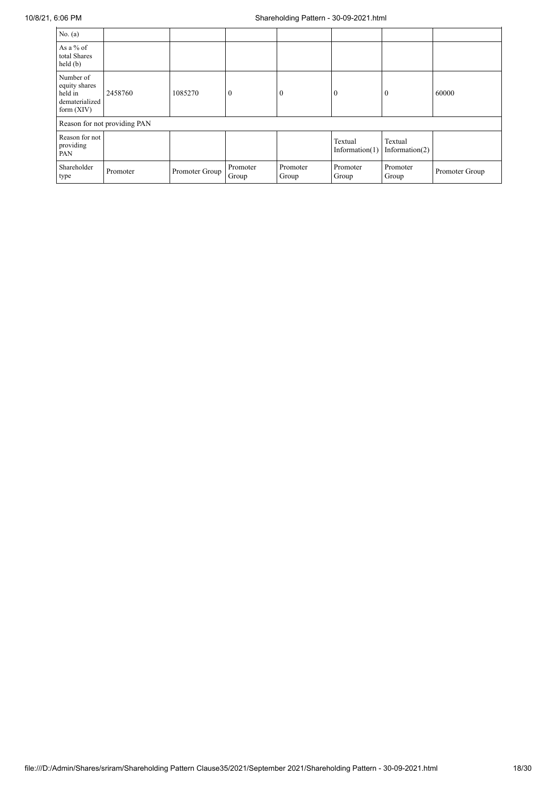| No. (a)                                                                 |                              |                |                   |                   |                              |                           |                |
|-------------------------------------------------------------------------|------------------------------|----------------|-------------------|-------------------|------------------------------|---------------------------|----------------|
| As a $%$ of<br>total Shares<br>held(b)                                  |                              |                |                   |                   |                              |                           |                |
| Number of<br>equity shares<br>held in<br>dematerialized<br>form $(XIV)$ | 2458760                      | 1085270        | $\theta$          | $\theta$          | $\theta$                     |                           | 60000          |
|                                                                         | Reason for not providing PAN |                |                   |                   |                              |                           |                |
| Reason for not<br>providing<br>PAN                                      |                              |                |                   |                   | Textual<br>Information $(1)$ | Textual<br>Information(2) |                |
| Shareholder<br>type                                                     | Promoter                     | Promoter Group | Promoter<br>Group | Promoter<br>Group | Promoter<br>Group            | Promoter<br>Group         | Promoter Group |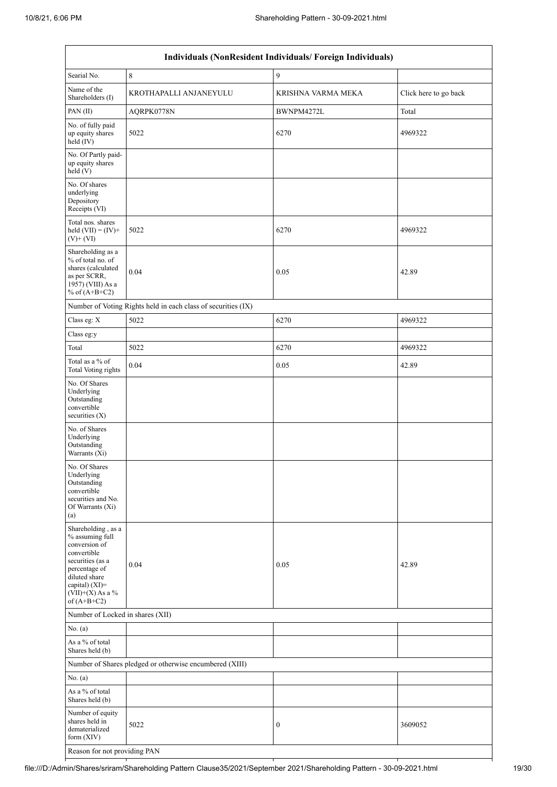| Individuals (NonResident Individuals/ Foreign Individuals)                                                                                                                         |                                                               |                    |                       |  |  |
|------------------------------------------------------------------------------------------------------------------------------------------------------------------------------------|---------------------------------------------------------------|--------------------|-----------------------|--|--|
| Searial No.                                                                                                                                                                        | 8                                                             | 9                  |                       |  |  |
| Name of the<br>Shareholders (I)                                                                                                                                                    | KROTHAPALLI ANJANEYULU                                        | KRISHNA VARMA MEKA | Click here to go back |  |  |
| PAN(II)                                                                                                                                                                            | AQRPK0778N                                                    | BWNPM4272L         | Total                 |  |  |
| No. of fully paid<br>up equity shares<br>held (IV)                                                                                                                                 | 5022                                                          | 6270               | 4969322               |  |  |
| No. Of Partly paid-<br>up equity shares<br>held(V)                                                                                                                                 |                                                               |                    |                       |  |  |
| No. Of shares<br>underlying<br>Depository<br>Receipts (VI)                                                                                                                         |                                                               |                    |                       |  |  |
| Total nos. shares<br>held $(VII) = (IV) +$<br>$(V)$ + $(VI)$                                                                                                                       | 5022                                                          | 6270               | 4969322               |  |  |
| Shareholding as a<br>% of total no. of<br>shares (calculated<br>as per SCRR,<br>1957) (VIII) As a<br>% of $(A+B+C2)$                                                               | 0.04                                                          | 0.05               | 42.89                 |  |  |
|                                                                                                                                                                                    | Number of Voting Rights held in each class of securities (IX) |                    |                       |  |  |
| Class eg: X                                                                                                                                                                        | 5022                                                          | 6270               | 4969322               |  |  |
| Class eg:y                                                                                                                                                                         |                                                               |                    |                       |  |  |
| Total                                                                                                                                                                              | 5022                                                          | 6270               | 4969322               |  |  |
| Total as a % of<br><b>Total Voting rights</b>                                                                                                                                      | 0.04                                                          | 0.05               | 42.89                 |  |  |
| No. Of Shares<br>Underlying<br>Outstanding<br>convertible<br>securities $(X)$                                                                                                      |                                                               |                    |                       |  |  |
| No. of Shares<br>Underlying<br>Outstanding<br>Warrants (Xi)                                                                                                                        |                                                               |                    |                       |  |  |
| No. Of Shares<br>Underlying<br>Outstanding<br>convertible<br>securities and No.<br>Of Warrants (Xi)<br>(a)                                                                         |                                                               |                    |                       |  |  |
| Shareholding, as a<br>% assuming full<br>conversion of<br>convertible<br>securities (as a<br>percentage of<br>diluted share<br>capital) (XI)=<br>(VII)+(X) As a %<br>of $(A+B+C2)$ | 0.04                                                          | 0.05               | 42.89                 |  |  |
| Number of Locked in shares (XII)                                                                                                                                                   |                                                               |                    |                       |  |  |
| No. (a)                                                                                                                                                                            |                                                               |                    |                       |  |  |
| As a % of total<br>Shares held (b)                                                                                                                                                 |                                                               |                    |                       |  |  |
|                                                                                                                                                                                    | Number of Shares pledged or otherwise encumbered (XIII)       |                    |                       |  |  |
| No. (a)                                                                                                                                                                            |                                                               |                    |                       |  |  |
| As a $\%$ of total<br>Shares held (b)                                                                                                                                              |                                                               |                    |                       |  |  |
| Number of equity<br>shares held in<br>dematerialized<br>form (XIV)                                                                                                                 | 5022                                                          | 0                  | 3609052               |  |  |
| Reason for not providing PAN                                                                                                                                                       |                                                               |                    |                       |  |  |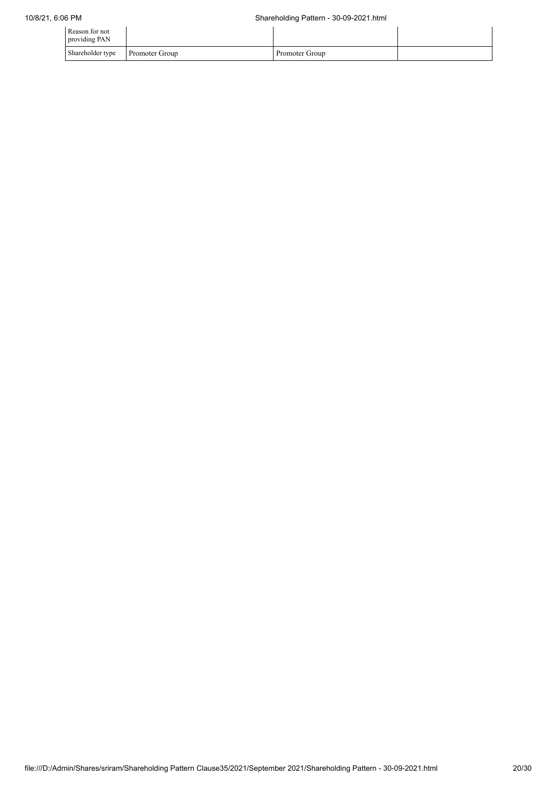| Reason for not<br>providing PAN |                       |                |  |
|---------------------------------|-----------------------|----------------|--|
| Shareholder type                | <b>Promoter Group</b> | Promoter Group |  |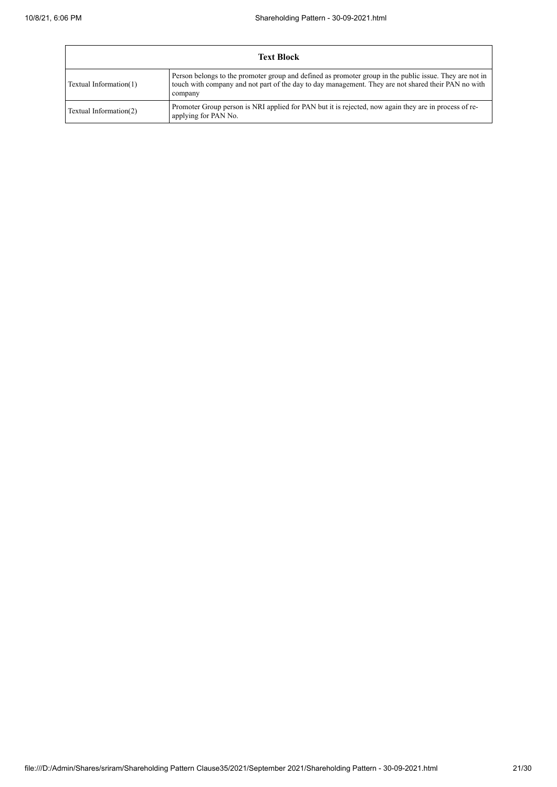|                        | <b>Text Block</b>                                                                                                                                                                                                         |  |  |
|------------------------|---------------------------------------------------------------------------------------------------------------------------------------------------------------------------------------------------------------------------|--|--|
| Textual Information(1) | Person belongs to the promoter group and defined as promoter group in the public issue. They are not in<br>touch with company and not part of the day to day management. They are not shared their PAN no with<br>company |  |  |
| Textual Information(2) | Promoter Group person is NRI applied for PAN but it is rejected, now again they are in process of re-<br>applying for PAN No.                                                                                             |  |  |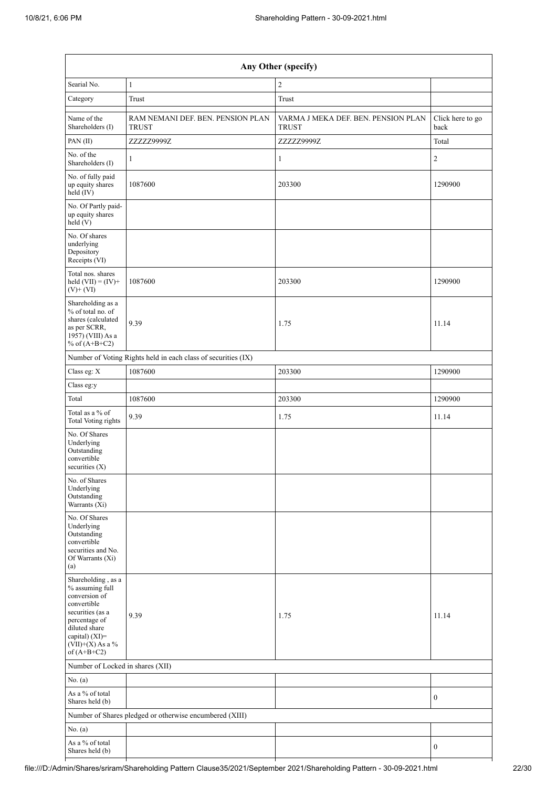| Any Other (specify)                                                                                                                                                                  |                                                               |                                                     |                          |  |
|--------------------------------------------------------------------------------------------------------------------------------------------------------------------------------------|---------------------------------------------------------------|-----------------------------------------------------|--------------------------|--|
| Searial No.                                                                                                                                                                          | $\mathbf{1}$                                                  | $\overline{c}$                                      |                          |  |
| Category                                                                                                                                                                             | Trust                                                         | Trust                                               |                          |  |
| Name of the<br>Shareholders (I)                                                                                                                                                      | RAM NEMANI DEF. BEN. PENSION PLAN<br><b>TRUST</b>             | VARMA J MEKA DEF. BEN. PENSION PLAN<br><b>TRUST</b> | Click here to go<br>back |  |
| PAN(II)                                                                                                                                                                              | ZZZZZ9999Z                                                    | ZZZZZ9999Z                                          | Total                    |  |
| No. of the<br>Shareholders (I)                                                                                                                                                       | 1                                                             | 1                                                   | $\overline{2}$           |  |
| No. of fully paid<br>up equity shares<br>held (IV)                                                                                                                                   | 1087600                                                       | 203300                                              | 1290900                  |  |
| No. Of Partly paid-<br>up equity shares<br>held (V)                                                                                                                                  |                                                               |                                                     |                          |  |
| No. Of shares<br>underlying<br>Depository<br>Receipts (VI)                                                                                                                           |                                                               |                                                     |                          |  |
| Total nos. shares<br>held $(VII) = (IV) +$<br>$(V)$ + $(VI)$                                                                                                                         | 1087600                                                       | 203300                                              | 1290900                  |  |
| Shareholding as a<br>% of total no. of<br>shares (calculated<br>as per SCRR,<br>1957) (VIII) As a<br>% of $(A+B+C2)$                                                                 | 9.39                                                          | 1.75                                                | 11.14                    |  |
|                                                                                                                                                                                      | Number of Voting Rights held in each class of securities (IX) |                                                     |                          |  |
| Class eg: X                                                                                                                                                                          | 1087600                                                       | 203300                                              | 1290900                  |  |
| Class eg:y                                                                                                                                                                           |                                                               |                                                     |                          |  |
| Total                                                                                                                                                                                | 1087600                                                       | 203300                                              | 1290900                  |  |
| Total as a % of<br><b>Total Voting rights</b>                                                                                                                                        | 9.39                                                          | 1.75                                                | 11.14                    |  |
| No. Of Shares<br>Underlying<br>Outstanding<br>convertible<br>securities $(X)$                                                                                                        |                                                               |                                                     |                          |  |
| No. of Shares<br>Underlying<br>Outstanding<br>Warrants (Xi)                                                                                                                          |                                                               |                                                     |                          |  |
| No. Of Shares<br>Underlying<br>Outstanding<br>convertible<br>securities and No.<br>Of Warrants (Xi)<br>(a)                                                                           |                                                               |                                                     |                          |  |
| Shareholding, as a<br>% assuming full<br>conversion of<br>convertible<br>securities (as a<br>percentage of<br>diluted share<br>capital) (XI)=<br>$(VII)+(X)$ As a %<br>of $(A+B+C2)$ | 9.39                                                          | 1.75                                                | 11.14                    |  |
| Number of Locked in shares (XII)                                                                                                                                                     |                                                               |                                                     |                          |  |
| No. (a)                                                                                                                                                                              |                                                               |                                                     |                          |  |
| As a % of total                                                                                                                                                                      |                                                               |                                                     | $\mathbf{0}$             |  |
| Shares held (b)                                                                                                                                                                      |                                                               |                                                     |                          |  |
| No. (a)                                                                                                                                                                              | Number of Shares pledged or otherwise encumbered (XIII)       |                                                     |                          |  |
| As a % of total                                                                                                                                                                      |                                                               |                                                     |                          |  |
| Shares held (b)                                                                                                                                                                      |                                                               |                                                     | $\boldsymbol{0}$         |  |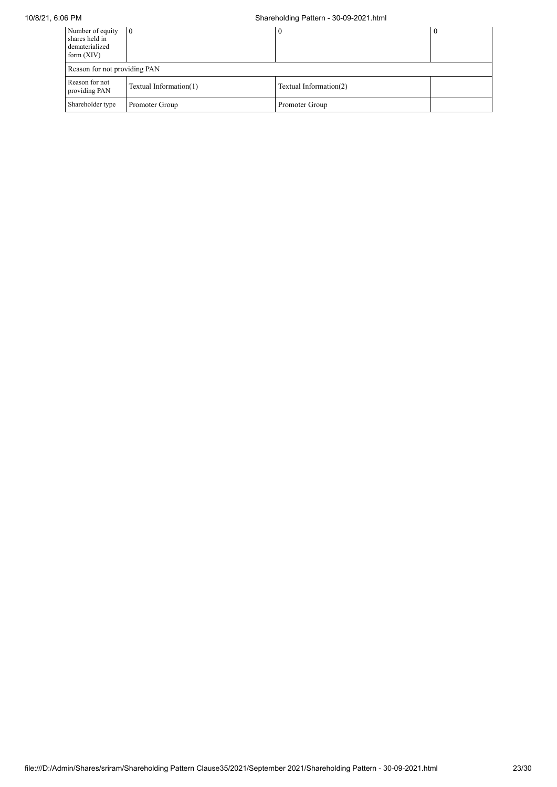# 10/8/21, 6:06 PM Shareholding Pattern - 30-09-2021.html

| Number of equity<br>shares held in<br>dematerialized<br>form $(XIV)$ | $\overline{0}$               | $\bf{0}$               |  |  |  |
|----------------------------------------------------------------------|------------------------------|------------------------|--|--|--|
|                                                                      | Reason for not providing PAN |                        |  |  |  |
| Reason for not<br>providing PAN                                      | Textual Information(1)       | Textual Information(2) |  |  |  |
| Shareholder type                                                     | Promoter Group               | Promoter Group         |  |  |  |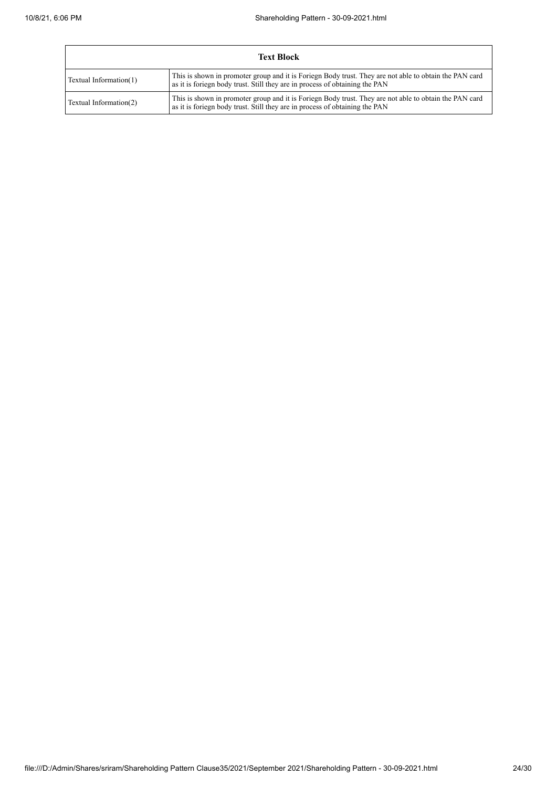| <b>Text Block</b>      |                                                                                                                                                                                       |  |
|------------------------|---------------------------------------------------------------------------------------------------------------------------------------------------------------------------------------|--|
| Textual Information(1) | This is shown in promoter group and it is Foriegn Body trust. They are not able to obtain the PAN card<br>as it is foriegn body trust. Still they are in process of obtaining the PAN |  |
| Textual Information(2) | This is shown in promoter group and it is Foriegn Body trust. They are not able to obtain the PAN card<br>as it is foriegn body trust. Still they are in process of obtaining the PAN |  |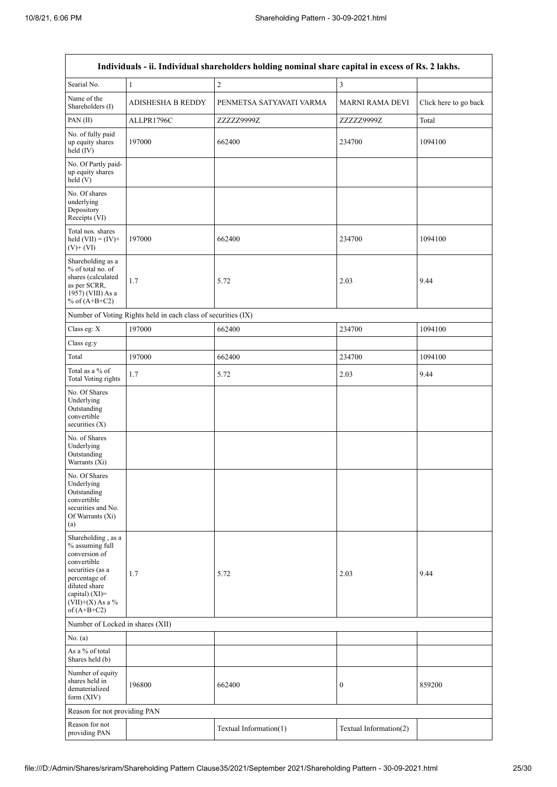| Individuals - ii. Individual shareholders holding nominal share capital in excess of Rs. 2 lakhs.                                                                                    |                                                               |                          |                        |                       |
|--------------------------------------------------------------------------------------------------------------------------------------------------------------------------------------|---------------------------------------------------------------|--------------------------|------------------------|-----------------------|
| Searial No.                                                                                                                                                                          | $\mathbf{1}$                                                  | $\sqrt{2}$               | 3                      |                       |
| Name of the<br>Shareholders (I)                                                                                                                                                      | <b>ADISHESHA B REDDY</b>                                      | PENMETSA SATYAVATI VARMA | <b>MARNI RAMA DEVI</b> | Click here to go back |
| PAN(II)                                                                                                                                                                              | ALLPR1796C                                                    | ZZZZZ9999Z               | ZZZZZ9999Z             | Total                 |
| No. of fully paid<br>up equity shares<br>$held$ (IV)                                                                                                                                 | 197000                                                        | 662400                   | 234700                 | 1094100               |
| No. Of Partly paid-<br>up equity shares<br>held (V)                                                                                                                                  |                                                               |                          |                        |                       |
| No. Of shares<br>underlying<br>Depository<br>Receipts (VI)                                                                                                                           |                                                               |                          |                        |                       |
| Total nos. shares<br>held $(VII) = (IV) +$<br>$(V)$ + $(VI)$                                                                                                                         | 197000                                                        | 662400                   | 234700                 | 1094100               |
| Shareholding as a<br>% of total no. of<br>shares (calculated<br>as per SCRR,<br>1957) (VIII) As a<br>% of $(A+B+C2)$                                                                 | 1.7                                                           | 5.72                     | 2.03                   | 9.44                  |
|                                                                                                                                                                                      | Number of Voting Rights held in each class of securities (IX) |                          |                        |                       |
| Class eg: X                                                                                                                                                                          | 197000                                                        | 662400                   | 234700                 | 1094100               |
| Class eg:y                                                                                                                                                                           |                                                               |                          |                        |                       |
| Total                                                                                                                                                                                | 197000                                                        | 662400                   | 234700                 | 1094100               |
| Total as a % of<br>Total Voting rights                                                                                                                                               | 1.7                                                           | 5.72                     | 2.03                   | 9.44                  |
| No. Of Shares<br>Underlying<br>Outstanding<br>convertible<br>securities $(X)$                                                                                                        |                                                               |                          |                        |                       |
| No. of Shares<br>Underlying<br>Outstanding<br>Warrants (Xi)                                                                                                                          |                                                               |                          |                        |                       |
| No. Of Shares<br>Underlying<br>Outstanding<br>convertible<br>securities and No.<br>Of Warrants (Xi)<br>(a)                                                                           |                                                               |                          |                        |                       |
| Shareholding, as a<br>% assuming full<br>conversion of<br>convertible<br>securities (as a<br>percentage of<br>diluted share<br>capital) (XI)=<br>$(VII)+(X)$ As a %<br>of $(A+B+C2)$ | 1.7                                                           | 5.72                     | 2.03                   | 9.44                  |
| Number of Locked in shares (XII)                                                                                                                                                     |                                                               |                          |                        |                       |
| No. (a)                                                                                                                                                                              |                                                               |                          |                        |                       |
| As a % of total<br>Shares held (b)                                                                                                                                                   |                                                               |                          |                        |                       |
| Number of equity<br>shares held in<br>dematerialized<br>form (XIV)                                                                                                                   | 196800                                                        | 662400                   | 0                      | 859200                |
| Reason for not providing PAN                                                                                                                                                         |                                                               |                          |                        |                       |
| Reason for not<br>providing PAN                                                                                                                                                      |                                                               | Textual Information(1)   | Textual Information(2) |                       |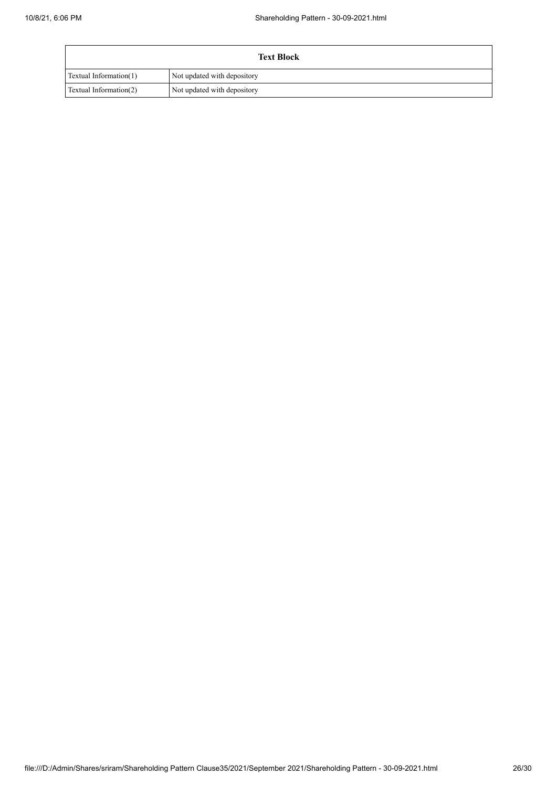| <b>Text Block</b>             |                             |  |
|-------------------------------|-----------------------------|--|
| <b>Textual Information(1)</b> | Not updated with depository |  |
| Textual Information(2)        | Not updated with depository |  |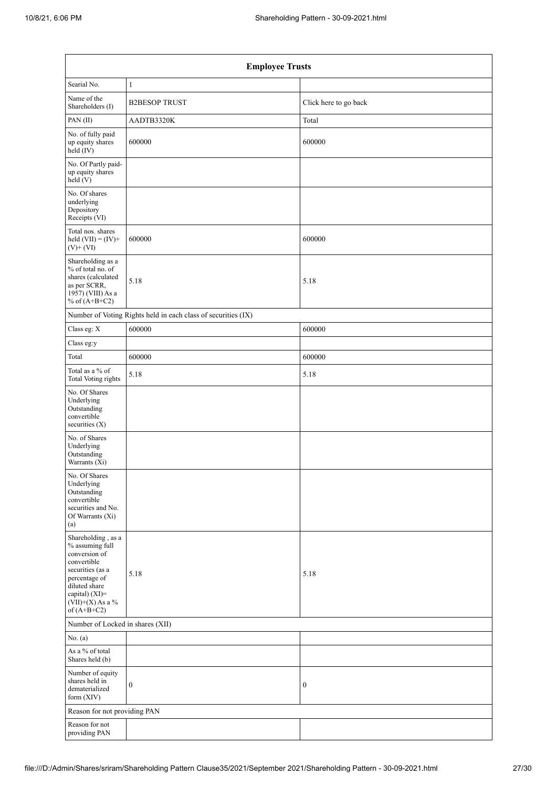| <b>Employee Trusts</b>                                                                                                                                                               |                                                               |                       |  |  |
|--------------------------------------------------------------------------------------------------------------------------------------------------------------------------------------|---------------------------------------------------------------|-----------------------|--|--|
| Searial No.                                                                                                                                                                          | $\mathbf{1}$                                                  |                       |  |  |
| Name of the<br>Shareholders (I)                                                                                                                                                      | <b>B2BESOP TRUST</b>                                          | Click here to go back |  |  |
| PAN(II)                                                                                                                                                                              | AADTB3320K                                                    | Total                 |  |  |
| No. of fully paid<br>up equity shares<br>held (IV)                                                                                                                                   | 600000                                                        | 600000                |  |  |
| No. Of Partly paid-<br>up equity shares<br>held (V)                                                                                                                                  |                                                               |                       |  |  |
| No. Of shares<br>underlying<br>Depository<br>Receipts (VI)                                                                                                                           |                                                               |                       |  |  |
| Total nos. shares<br>held $(VII) = (IV) +$<br>$(V)$ + $(VI)$                                                                                                                         | 600000                                                        | 600000                |  |  |
| Shareholding as a<br>% of total no. of<br>shares (calculated<br>as per SCRR,<br>1957) (VIII) As a<br>% of $(A+B+C2)$                                                                 | 5.18                                                          | 5.18                  |  |  |
|                                                                                                                                                                                      | Number of Voting Rights held in each class of securities (IX) |                       |  |  |
| Class eg: X                                                                                                                                                                          | 600000                                                        | 600000                |  |  |
| Class eg:y                                                                                                                                                                           |                                                               |                       |  |  |
| Total                                                                                                                                                                                | 600000                                                        | 600000                |  |  |
| Total as a % of<br><b>Total Voting rights</b>                                                                                                                                        | 5.18                                                          | 5.18                  |  |  |
| No. Of Shares<br>Underlying<br>Outstanding<br>convertible<br>securities $(X)$                                                                                                        |                                                               |                       |  |  |
| No. of Shares<br>Underlying<br>Outstanding<br>Warrants (Xi)                                                                                                                          |                                                               |                       |  |  |
| No. Of Shares<br>Underlying<br>Outstanding<br>convertible<br>securities and No.<br>Of Warrants (Xi)<br>(a)                                                                           |                                                               |                       |  |  |
| Shareholding, as a<br>% assuming full<br>conversion of<br>convertible<br>securities (as a<br>percentage of<br>diluted share<br>capital) (XI)=<br>$(VII)+(X)$ As a %<br>of $(A+B+C2)$ | 5.18                                                          | 5.18                  |  |  |
| Number of Locked in shares (XII)                                                                                                                                                     |                                                               |                       |  |  |
| No. (a)                                                                                                                                                                              |                                                               |                       |  |  |
| As a % of total<br>Shares held (b)                                                                                                                                                   |                                                               |                       |  |  |
| Number of equity<br>shares held in<br>dematerialized<br>form (XIV)                                                                                                                   | $\boldsymbol{0}$                                              | $\boldsymbol{0}$      |  |  |
| Reason for not providing PAN                                                                                                                                                         |                                                               |                       |  |  |
| Reason for not<br>providing PAN                                                                                                                                                      |                                                               |                       |  |  |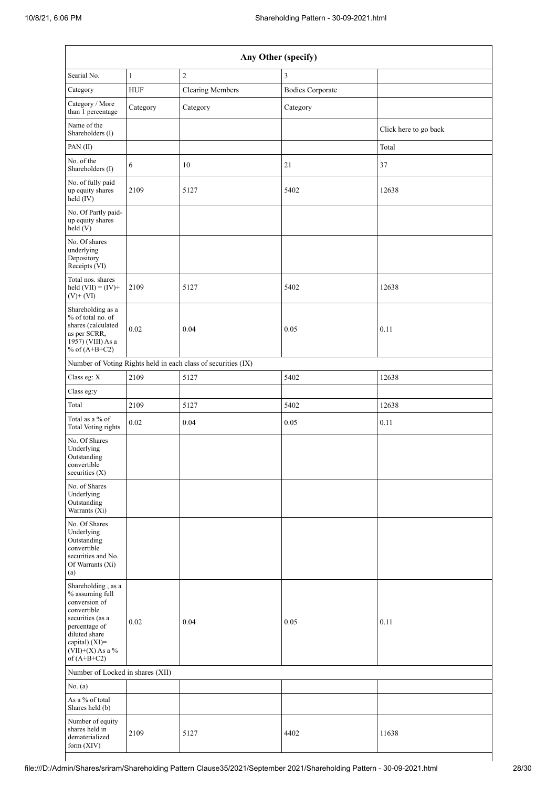| Any Other (specify)                                                                                                                                                                  |              |                                                               |                         |                       |
|--------------------------------------------------------------------------------------------------------------------------------------------------------------------------------------|--------------|---------------------------------------------------------------|-------------------------|-----------------------|
| Searial No.                                                                                                                                                                          | $\mathbf{1}$ | $\overline{c}$                                                | 3                       |                       |
| Category                                                                                                                                                                             | <b>HUF</b>   | <b>Clearing Members</b>                                       | <b>Bodies Corporate</b> |                       |
| Category / More<br>than 1 percentage                                                                                                                                                 | Category     | Category                                                      | Category                |                       |
| Name of the<br>Shareholders (I)                                                                                                                                                      |              |                                                               |                         | Click here to go back |
| PAN(II)                                                                                                                                                                              |              |                                                               |                         | Total                 |
| No. of the<br>Shareholders (I)                                                                                                                                                       | 6            | 10                                                            | $21\,$                  | 37                    |
| No. of fully paid<br>up equity shares<br>$\text{held}(\text{IV})$                                                                                                                    | 2109         | 5127                                                          | 5402                    | 12638                 |
| No. Of Partly paid-<br>up equity shares<br>held (V)                                                                                                                                  |              |                                                               |                         |                       |
| No. Of shares<br>underlying<br>Depository<br>Receipts (VI)                                                                                                                           |              |                                                               |                         |                       |
| Total nos. shares<br>held $(VII) = (IV) +$<br>$(V)$ + $(VI)$                                                                                                                         | 2109         | 5127                                                          | 5402                    | 12638                 |
| Shareholding as a<br>% of total no. of<br>shares (calculated<br>as per SCRR,<br>$1957$ ) (VIII) As a<br>% of $(A+B+C2)$                                                              | 0.02         | 0.04                                                          | 0.05                    | 0.11                  |
|                                                                                                                                                                                      |              | Number of Voting Rights held in each class of securities (IX) |                         |                       |
| Class eg: X                                                                                                                                                                          | 2109         | 5127                                                          | 5402                    | 12638                 |
| Class eg:y                                                                                                                                                                           |              |                                                               |                         |                       |
| Total                                                                                                                                                                                | 2109         | 5127                                                          | 5402                    | 12638                 |
| Total as a % of<br><b>Total Voting rights</b>                                                                                                                                        | 0.02         | 0.04                                                          | 0.05                    | 0.11                  |
| No. Of Shares<br>Underlying<br>Outstanding<br>convertible<br>securities (X)                                                                                                          |              |                                                               |                         |                       |
| No. of Shares<br>Underlying<br>Outstanding<br>Warrants (Xi)                                                                                                                          |              |                                                               |                         |                       |
| No. Of Shares<br>Underlying<br>Outstanding<br>convertible<br>securities and No.<br>Of Warrants (Xi)<br>(a)                                                                           |              |                                                               |                         |                       |
| Shareholding, as a<br>% assuming full<br>conversion of<br>convertible<br>securities (as a<br>percentage of<br>diluted share<br>capital) (XI)=<br>$(VII)+(X)$ As a %<br>of $(A+B+C2)$ | 0.02         | 0.04                                                          | 0.05                    | 0.11                  |
| Number of Locked in shares (XII)                                                                                                                                                     |              |                                                               |                         |                       |
| No. (a)                                                                                                                                                                              |              |                                                               |                         |                       |
| As a % of total<br>Shares held (b)                                                                                                                                                   |              |                                                               |                         |                       |
| Number of equity<br>shares held in<br>dematerialized<br>form (XIV)                                                                                                                   | 2109         | 5127                                                          | 4402                    | 11638                 |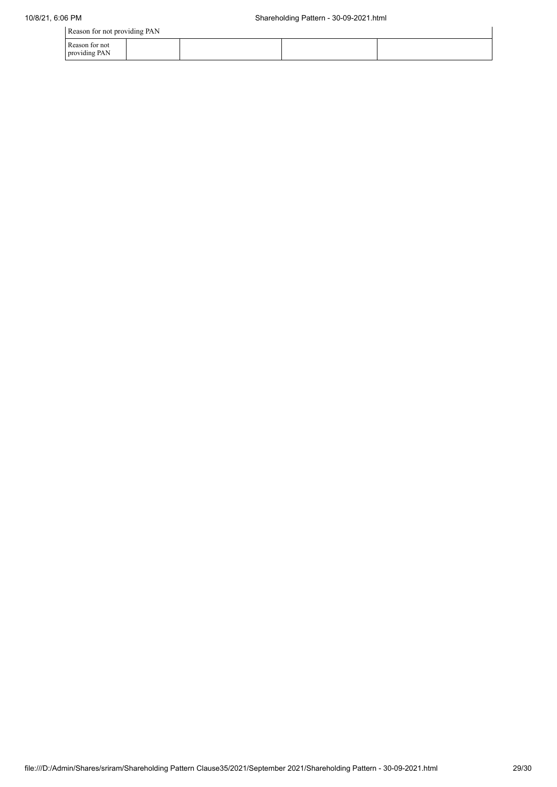| Reason for not providing PAN    |  |  |  |  |
|---------------------------------|--|--|--|--|
| Reason for not<br>providing PAN |  |  |  |  |